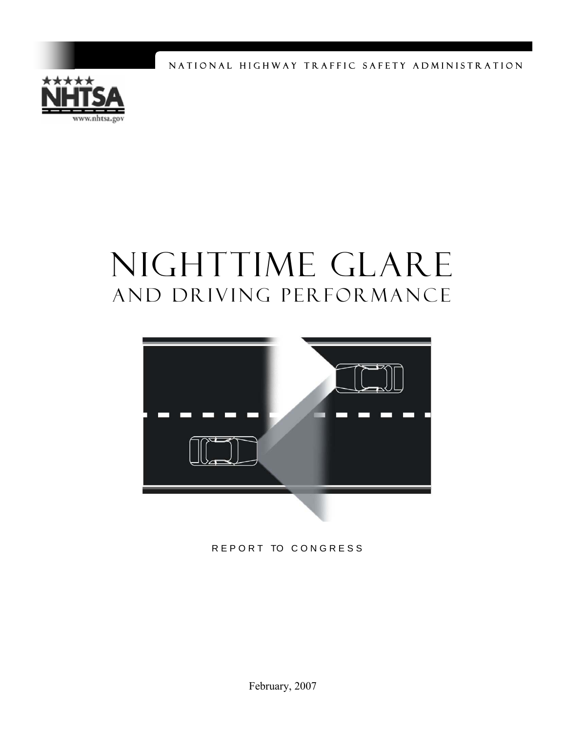NATIONAL HIGHWAY TRAFFIC SAFETY ADMINISTRATION



# NIGHTTIME GLARE and Driving Performance



REPORT TO CONGRESS

February, 2007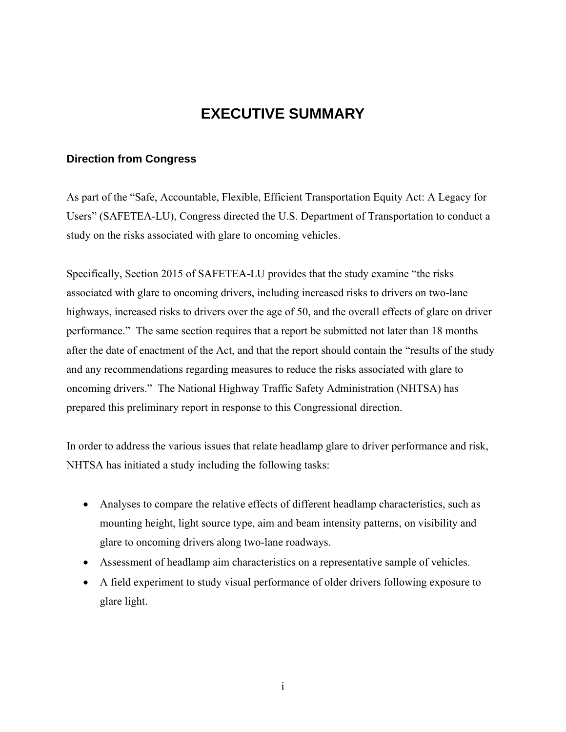### **EXECUTIVE SUMMARY**

#### **Direction from Congress**

As part of the "Safe, Accountable, Flexible, Efficient Transportation Equity Act: A Legacy for Users" (SAFETEA-LU), Congress directed the U.S. Department of Transportation to conduct a study on the risks associated with glare to oncoming vehicles.

Specifically, Section 2015 of SAFETEA-LU provides that the study examine "the risks associated with glare to oncoming drivers, including increased risks to drivers on two-lane highways, increased risks to drivers over the age of 50, and the overall effects of glare on driver performance." The same section requires that a report be submitted not later than 18 months after the date of enactment of the Act, and that the report should contain the "results of the study and any recommendations regarding measures to reduce the risks associated with glare to oncoming drivers." The National Highway Traffic Safety Administration (NHTSA) has prepared this preliminary report in response to this Congressional direction.

In order to address the various issues that relate headlamp glare to driver performance and risk, NHTSA has initiated a study including the following tasks:

- Analyses to compare the relative effects of different headlamp characteristics, such as mounting height, light source type, aim and beam intensity patterns, on visibility and glare to oncoming drivers along two-lane roadways.
- Assessment of headlamp aim characteristics on a representative sample of vehicles.
- A field experiment to study visual performance of older drivers following exposure to glare light.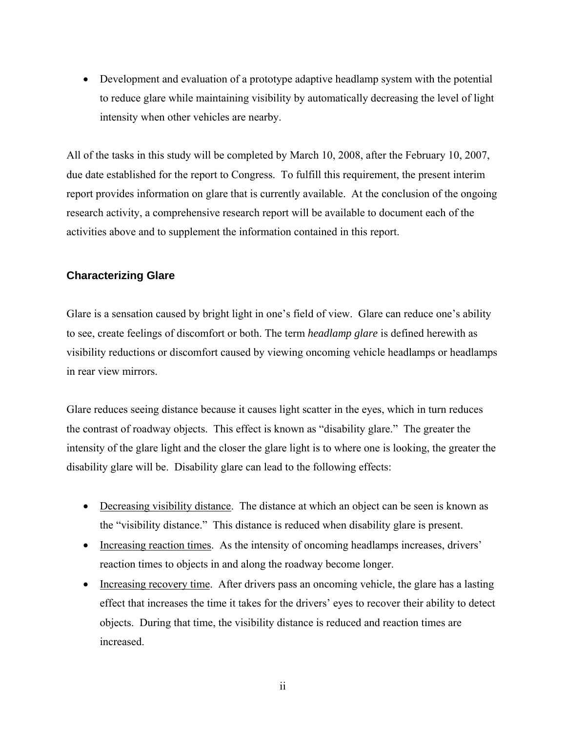• Development and evaluation of a prototype adaptive headlamp system with the potential to reduce glare while maintaining visibility by automatically decreasing the level of light intensity when other vehicles are nearby.

All of the tasks in this study will be completed by March 10, 2008, after the February 10, 2007, due date established for the report to Congress. To fulfill this requirement, the present interim report provides information on glare that is currently available. At the conclusion of the ongoing research activity, a comprehensive research report will be available to document each of the activities above and to supplement the information contained in this report.

#### **Characterizing Glare**

Glare is a sensation caused by bright light in one's field of view. Glare can reduce one's ability to see, create feelings of discomfort or both. The term *headlamp glare* is defined herewith as visibility reductions or discomfort caused by viewing oncoming vehicle headlamps or headlamps in rear view mirrors.

Glare reduces seeing distance because it causes light scatter in the eyes, which in turn reduces the contrast of roadway objects. This effect is known as "disability glare." The greater the intensity of the glare light and the closer the glare light is to where one is looking, the greater the disability glare will be. Disability glare can lead to the following effects:

- Decreasing visibility distance. The distance at which an object can be seen is known as the "visibility distance." This distance is reduced when disability glare is present.
- Increasing reaction times. As the intensity of oncoming headlamps increases, drivers' reaction times to objects in and along the roadway become longer.
- Increasing recovery time. After drivers pass an oncoming vehicle, the glare has a lasting effect that increases the time it takes for the drivers' eyes to recover their ability to detect objects. During that time, the visibility distance is reduced and reaction times are increased.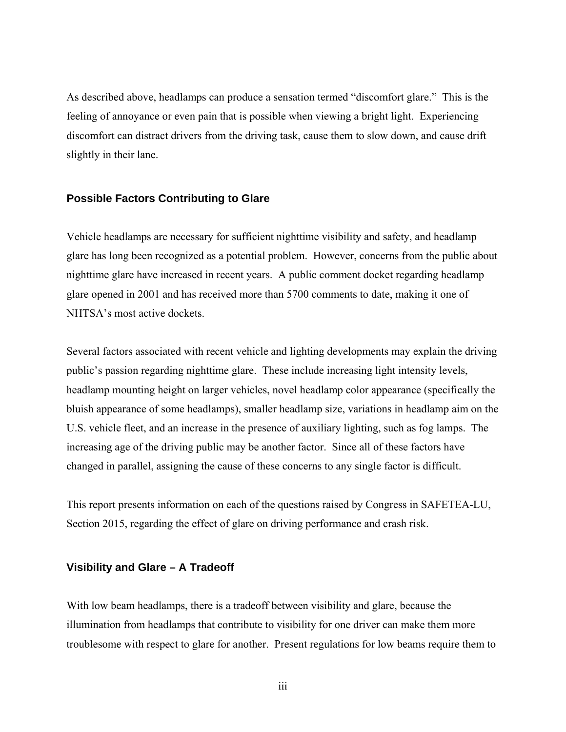As described above, headlamps can produce a sensation termed "discomfort glare." This is the feeling of annoyance or even pain that is possible when viewing a bright light. Experiencing discomfort can distract drivers from the driving task, cause them to slow down, and cause drift slightly in their lane.

#### **Possible Factors Contributing to Glare**

Vehicle headlamps are necessary for sufficient nighttime visibility and safety, and headlamp glare has long been recognized as a potential problem. However, concerns from the public about nighttime glare have increased in recent years. A public comment docket regarding headlamp glare opened in 2001 and has received more than 5700 comments to date, making it one of NHTSA's most active dockets.

Several factors associated with recent vehicle and lighting developments may explain the driving public's passion regarding nighttime glare. These include increasing light intensity levels, headlamp mounting height on larger vehicles, novel headlamp color appearance (specifically the bluish appearance of some headlamps), smaller headlamp size, variations in headlamp aim on the U.S. vehicle fleet, and an increase in the presence of auxiliary lighting, such as fog lamps. The increasing age of the driving public may be another factor. Since all of these factors have changed in parallel, assigning the cause of these concerns to any single factor is difficult.

This report presents information on each of the questions raised by Congress in SAFETEA-LU, Section 2015, regarding the effect of glare on driving performance and crash risk.

#### **Visibility and Glare – A Tradeoff**

With low beam headlamps, there is a tradeoff between visibility and glare, because the illumination from headlamps that contribute to visibility for one driver can make them more troublesome with respect to glare for another. Present regulations for low beams require them to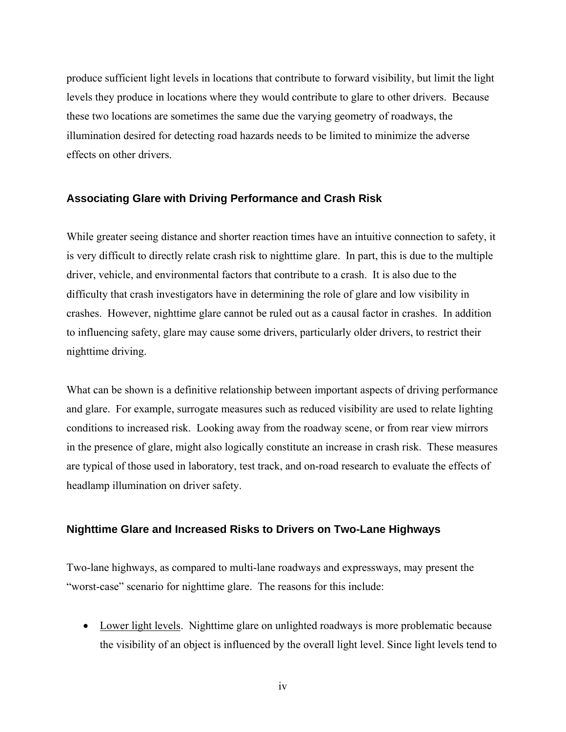produce sufficient light levels in locations that contribute to forward visibility, but limit the light levels they produce in locations where they would contribute to glare to other drivers. Because these two locations are sometimes the same due the varying geometry of roadways, the illumination desired for detecting road hazards needs to be limited to minimize the adverse effects on other drivers.

#### **Associating Glare with Driving Performance and Crash Risk**

While greater seeing distance and shorter reaction times have an intuitive connection to safety, it is very difficult to directly relate crash risk to nighttime glare. In part, this is due to the multiple driver, vehicle, and environmental factors that contribute to a crash. It is also due to the difficulty that crash investigators have in determining the role of glare and low visibility in crashes. However, nighttime glare cannot be ruled out as a causal factor in crashes. In addition to influencing safety, glare may cause some drivers, particularly older drivers, to restrict their nighttime driving.

What can be shown is a definitive relationship between important aspects of driving performance and glare. For example, surrogate measures such as reduced visibility are used to relate lighting conditions to increased risk. Looking away from the roadway scene, or from rear view mirrors in the presence of glare, might also logically constitute an increase in crash risk. These measures are typical of those used in laboratory, test track, and on-road research to evaluate the effects of headlamp illumination on driver safety.

#### **Nighttime Glare and Increased Risks to Drivers on Two-Lane Highways**

Two-lane highways, as compared to multi-lane roadways and expressways, may present the "worst-case" scenario for nighttime glare. The reasons for this include:

• Lower light levels. Nighttime glare on unlighted roadways is more problematic because the visibility of an object is influenced by the overall light level. Since light levels tend to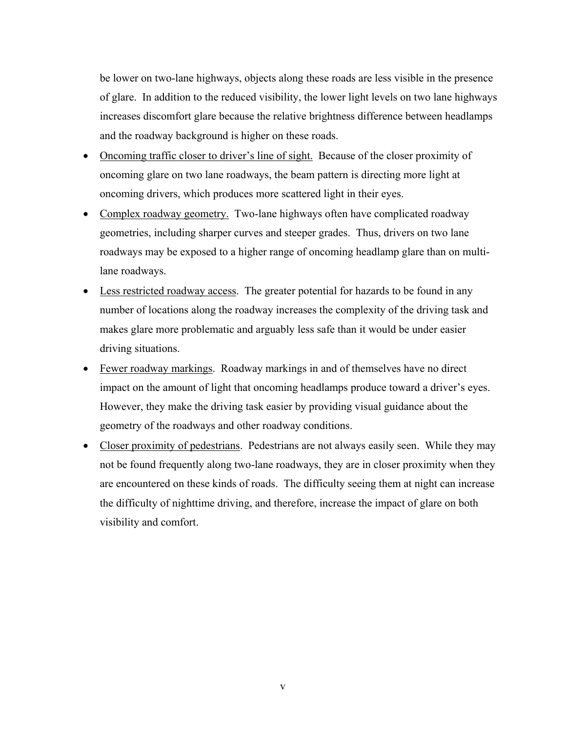be lower on two-lane highways, objects along these roads are less visible in the presence of glare. In addition to the reduced visibility, the lower light levels on two lane highways increases discomfort glare because the relative brightness difference between headlamps and the roadway background is higher on these roads.

- Oncoming traffic closer to driver's line of sight. Because of the closer proximity of oncoming glare on two lane roadways, the beam pattern is directing more light at oncoming drivers, which produces more scattered light in their eyes.
- Complex roadway geometry. Two-lane highways often have complicated roadway geometries, including sharper curves and steeper grades. Thus, drivers on two lane roadways may be exposed to a higher range of oncoming headlamp glare than on multilane roadways.
- Less restricted roadway access. The greater potential for hazards to be found in any number of locations along the roadway increases the complexity of the driving task and makes glare more problematic and arguably less safe than it would be under easier driving situations.
- Fewer roadway markings. Roadway markings in and of themselves have no direct impact on the amount of light that oncoming headlamps produce toward a driver's eyes. However, they make the driving task easier by providing visual guidance about the geometry of the roadways and other roadway conditions.
- Closer proximity of pedestrians. Pedestrians are not always easily seen. While they may not be found frequently along two-lane roadways, they are in closer proximity when they are encountered on these kinds of roads. The difficulty seeing them at night can increase the difficulty of nighttime driving, and therefore, increase the impact of glare on both visibility and comfort.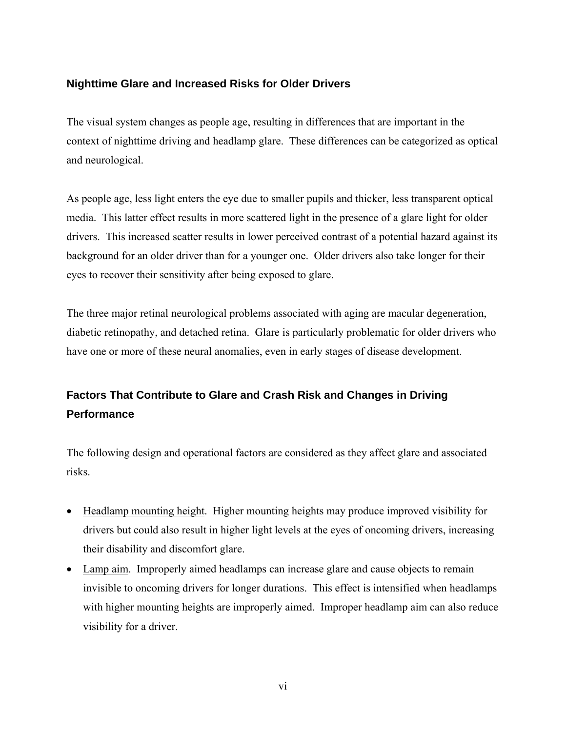#### **Nighttime Glare and Increased Risks for Older Drivers**

The visual system changes as people age, resulting in differences that are important in the context of nighttime driving and headlamp glare. These differences can be categorized as optical and neurological.

As people age, less light enters the eye due to smaller pupils and thicker, less transparent optical media. This latter effect results in more scattered light in the presence of a glare light for older drivers. This increased scatter results in lower perceived contrast of a potential hazard against its background for an older driver than for a younger one. Older drivers also take longer for their eyes to recover their sensitivity after being exposed to glare.

The three major retinal neurological problems associated with aging are macular degeneration, diabetic retinopathy, and detached retina. Glare is particularly problematic for older drivers who have one or more of these neural anomalies, even in early stages of disease development.

### **Factors That Contribute to Glare and Crash Risk and Changes in Driving Performance**

The following design and operational factors are considered as they affect glare and associated risks.

- Headlamp mounting height. Higher mounting heights may produce improved visibility for drivers but could also result in higher light levels at the eyes of oncoming drivers, increasing their disability and discomfort glare.
- Lamp aim. Improperly aimed headlamps can increase glare and cause objects to remain invisible to oncoming drivers for longer durations. This effect is intensified when headlamps with higher mounting heights are improperly aimed. Improper headlamp aim can also reduce visibility for a driver.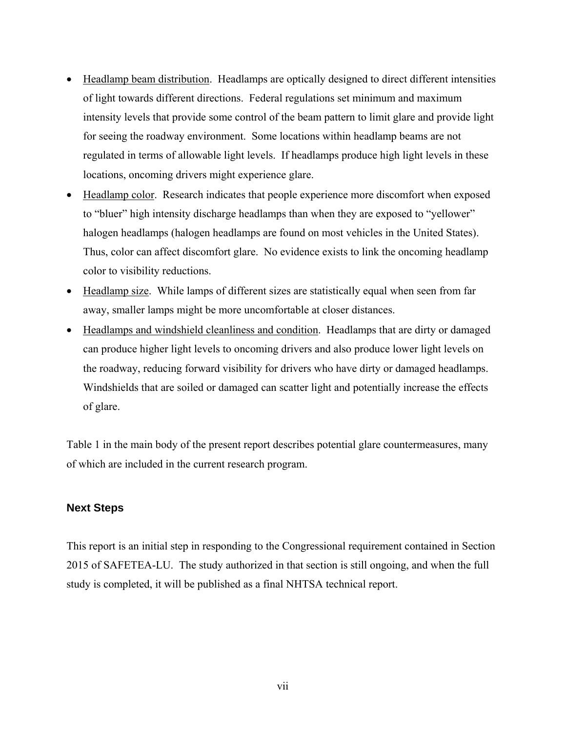- Headlamp beam distribution. Headlamps are optically designed to direct different intensities of light towards different directions. Federal regulations set minimum and maximum intensity levels that provide some control of the beam pattern to limit glare and provide light for seeing the roadway environment. Some locations within headlamp beams are not regulated in terms of allowable light levels. If headlamps produce high light levels in these locations, oncoming drivers might experience glare.
- Headlamp color. Research indicates that people experience more discomfort when exposed to "bluer" high intensity discharge headlamps than when they are exposed to "yellower" halogen headlamps (halogen headlamps are found on most vehicles in the United States). Thus, color can affect discomfort glare. No evidence exists to link the oncoming headlamp color to visibility reductions.
- Headlamp size. While lamps of different sizes are statistically equal when seen from far away, smaller lamps might be more uncomfortable at closer distances.
- Headlamps and windshield cleanliness and condition. Headlamps that are dirty or damaged can produce higher light levels to oncoming drivers and also produce lower light levels on the roadway, reducing forward visibility for drivers who have dirty or damaged headlamps. Windshields that are soiled or damaged can scatter light and potentially increase the effects of glare.

Table 1 in the main body of the present report describes potential glare countermeasures, many of which are included in the current research program.

#### **Next Steps**

This report is an initial step in responding to the Congressional requirement contained in Section 2015 of SAFETEA-LU. The study authorized in that section is still ongoing, and when the full study is completed, it will be published as a final NHTSA technical report.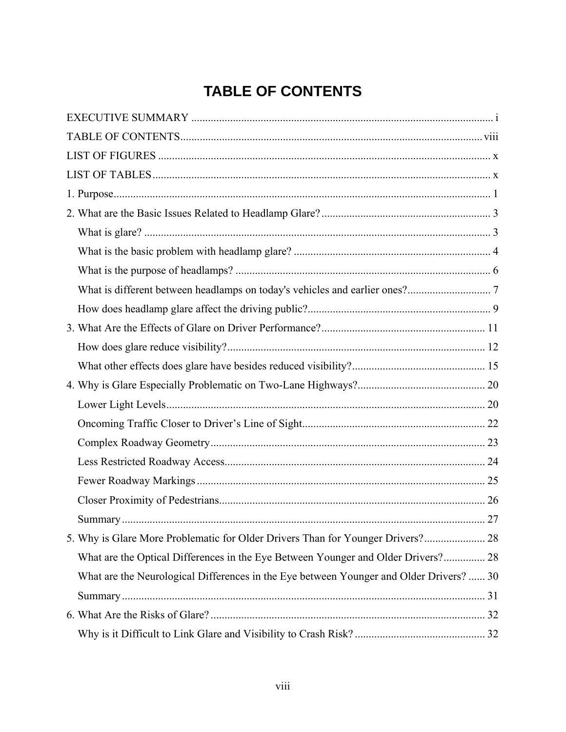# **TABLE OF CONTENTS**

| 5. Why is Glare More Problematic for Older Drivers Than for Younger Drivers? 28         |  |
|-----------------------------------------------------------------------------------------|--|
| What are the Optical Differences in the Eye Between Younger and Older Drivers? 28       |  |
| What are the Neurological Differences in the Eye between Younger and Older Drivers?  30 |  |
|                                                                                         |  |
|                                                                                         |  |
|                                                                                         |  |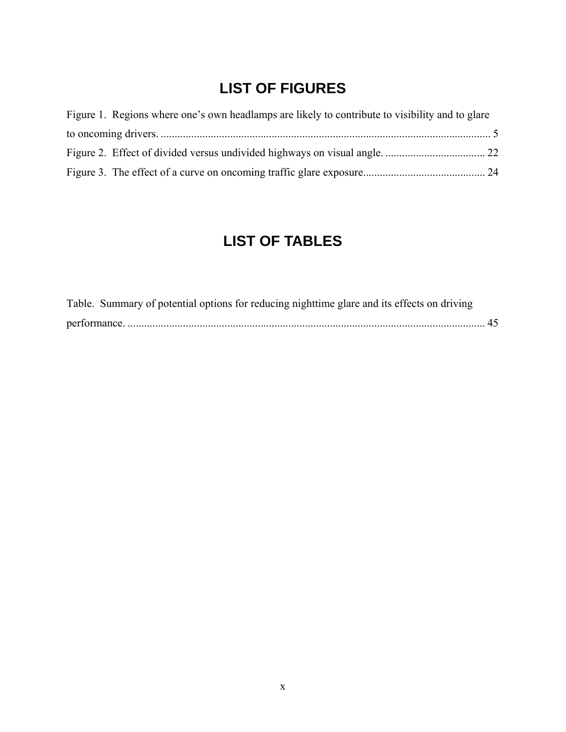## **LIST OF FIGURES**

| Figure 1. Regions where one's own headlamps are likely to contribute to visibility and to glare |  |
|-------------------------------------------------------------------------------------------------|--|
|                                                                                                 |  |
|                                                                                                 |  |
|                                                                                                 |  |

## **LIST OF TABLES**

| Table. Summary of potential options for reducing nighttime glare and its effects on driving |  |
|---------------------------------------------------------------------------------------------|--|
|                                                                                             |  |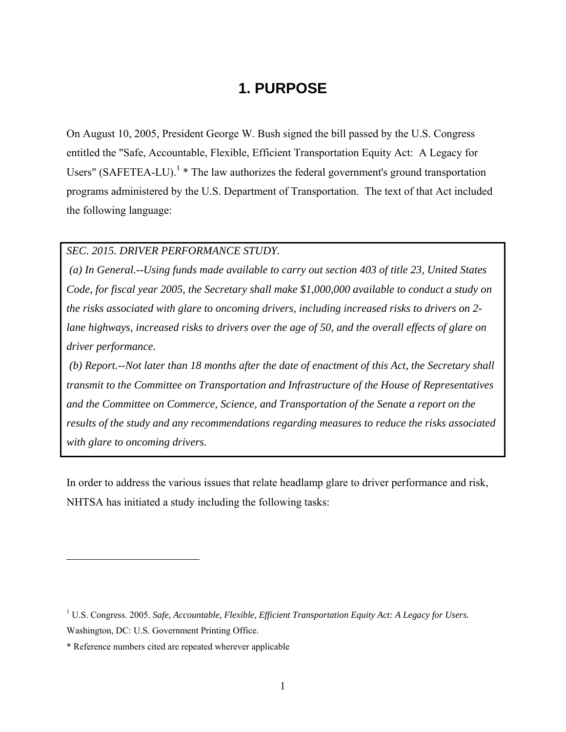### **1. PURPOSE**

On August 10, 2005, President George W. Bush signed the bill passed by the U.S. Congress entitled the "Safe, Accountable, Flexible, Efficient Transportation Equity Act: A Legacy for Users" (SAFETEA-LU).<sup>1</sup>  $*$  The law authorizes the federal government's ground transportation programs administered by the U.S. Department of Transportation. The text of that Act included the following language:

#### *SEC. 2015. DRIVER PERFORMANCE STUDY.*

 *(a) In General.--Using funds made available to carry out section 403 of title 23, United States Code, for fiscal year 2005, the Secretary shall make \$1,000,000 available to conduct a study on the risks associated with glare to oncoming drivers, including increased risks to drivers on 2 lane highways, increased risks to drivers over the age of 50, and the overall effects of glare on driver performance.* 

 *(b) Report.--Not later than 18 months after the date of enactment of this Act, the Secretary shall transmit to the Committee on Transportation and Infrastructure of the House of Representatives and the Committee on Commerce, Science, and Transportation of the Senate a report on the results of the study and any recommendations regarding measures to reduce the risks associated with glare to oncoming drivers.* 

In order to address the various issues that relate headlamp glare to driver performance and risk, NHTSA has initiated a study including the following tasks:

<sup>&</sup>lt;sup>1</sup> U.S. Congress. 2005. *Safe, Accountable, Flexible, Efficient Transportation Equity Act: A Legacy for Users.* Washington, DC: U.S. Government Printing Office.

<sup>\*</sup> Reference numbers cited are repeated wherever applicable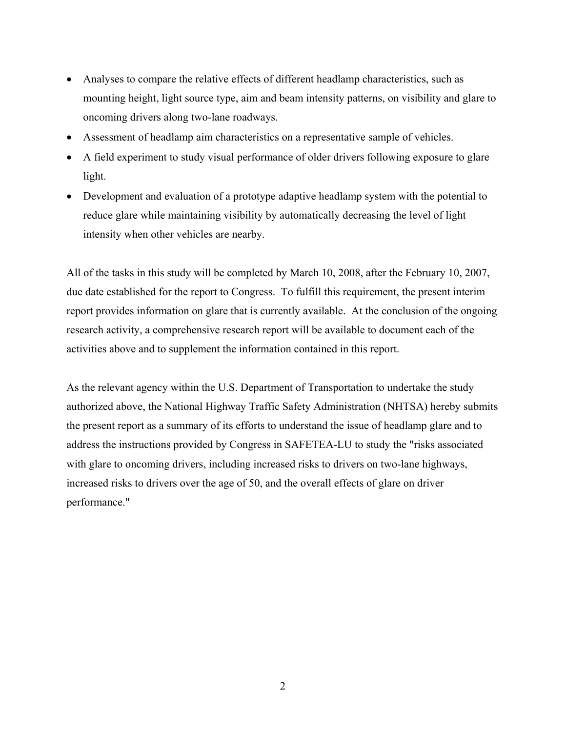- Analyses to compare the relative effects of different headlamp characteristics, such as mounting height, light source type, aim and beam intensity patterns, on visibility and glare to oncoming drivers along two-lane roadways.
- Assessment of headlamp aim characteristics on a representative sample of vehicles.
- A field experiment to study visual performance of older drivers following exposure to glare light.
- Development and evaluation of a prototype adaptive headlamp system with the potential to reduce glare while maintaining visibility by automatically decreasing the level of light intensity when other vehicles are nearby.

All of the tasks in this study will be completed by March 10, 2008, after the February 10, 2007, due date established for the report to Congress. To fulfill this requirement, the present interim report provides information on glare that is currently available. At the conclusion of the ongoing research activity, a comprehensive research report will be available to document each of the activities above and to supplement the information contained in this report.

As the relevant agency within the U.S. Department of Transportation to undertake the study authorized above, the National Highway Traffic Safety Administration (NHTSA) hereby submits the present report as a summary of its efforts to understand the issue of headlamp glare and to address the instructions provided by Congress in SAFETEA-LU to study the "risks associated with glare to oncoming drivers, including increased risks to drivers on two-lane highways, increased risks to drivers over the age of 50, and the overall effects of glare on driver performance."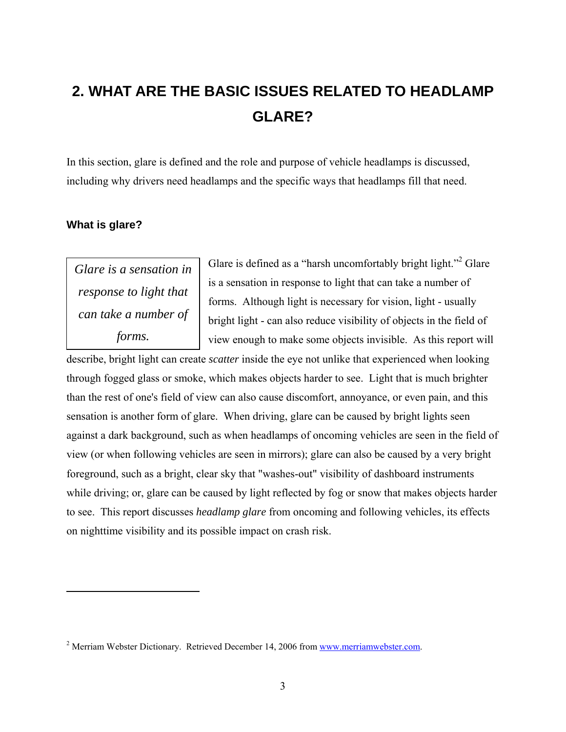# **2. WHAT ARE THE BASIC ISSUES RELATED TO HEADLAMP GLARE?**

In this section, glare is defined and the role and purpose of vehicle headlamps is discussed, including why drivers need headlamps and the specific ways that headlamps fill that need.

#### **What is glare?**

 $\overline{a}$ 

*Glare is a sensation in response to light that can take a number of forms.* 

Glare is defined as a "harsh uncomfortably bright light."<sup>2</sup> Glare is a sensation in response to light that can take a number of forms. Although light is necessary for vision, light - usually bright light - can also reduce visibility of objects in the field of view enough to make some objects invisible. As this report will

describe, bright light can create *scatter* inside the eye not unlike that experienced when looking through fogged glass or smoke, which makes objects harder to see. Light that is much brighter than the rest of one's field of view can also cause discomfort, annoyance, or even pain, and this sensation is another form of glare. When driving, glare can be caused by bright lights seen against a dark background, such as when headlamps of oncoming vehicles are seen in the field of view (or when following vehicles are seen in mirrors); glare can also be caused by a very bright foreground, such as a bright, clear sky that "washes-out" visibility of dashboard instruments while driving; or, glare can be caused by light reflected by fog or snow that makes objects harder to see. This report discusses *headlamp glare* from oncoming and following vehicles, its effects on nighttime visibility and its possible impact on crash risk.

<sup>&</sup>lt;sup>2</sup> Merriam Webster Dictionary. Retrieved December 14, 2006 from www.merriamwebster.com.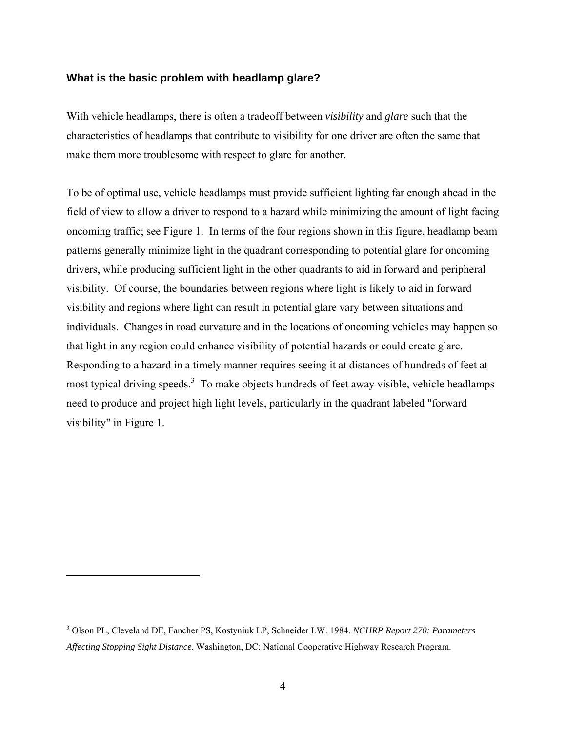#### **What is the basic problem with headlamp glare?**

With vehicle headlamps, there is often a tradeoff between *visibility* and *glare* such that the characteristics of headlamps that contribute to visibility for one driver are often the same that make them more troublesome with respect to glare for another.

To be of optimal use, vehicle headlamps must provide sufficient lighting far enough ahead in the field of view to allow a driver to respond to a hazard while minimizing the amount of light facing oncoming traffic; see Figure 1. In terms of the four regions shown in this figure, headlamp beam patterns generally minimize light in the quadrant corresponding to potential glare for oncoming drivers, while producing sufficient light in the other quadrants to aid in forward and peripheral visibility. Of course, the boundaries between regions where light is likely to aid in forward visibility and regions where light can result in potential glare vary between situations and individuals. Changes in road curvature and in the locations of oncoming vehicles may happen so that light in any region could enhance visibility of potential hazards or could create glare. Responding to a hazard in a timely manner requires seeing it at distances of hundreds of feet at most typical driving speeds.<sup>3</sup> To make objects hundreds of feet away visible, vehicle headlamps need to produce and project high light levels, particularly in the quadrant labeled "forward visibility" in Figure 1.

<sup>3</sup> Olson PL, Cleveland DE, Fancher PS, Kostyniuk LP, Schneider LW. 1984. *NCHRP Report 270: Parameters Affecting Stopping Sight Distance*. Washington, DC: National Cooperative Highway Research Program.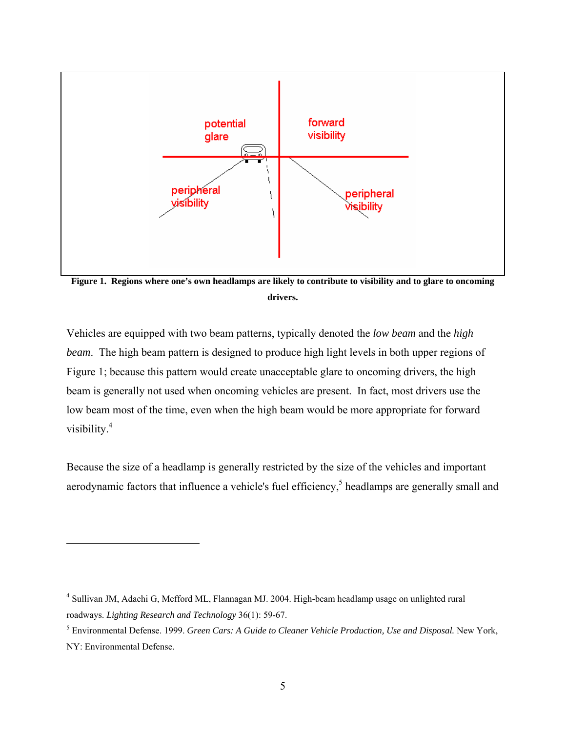

**Figure 1. Regions where one's own headlamps are likely to contribute to visibility and to glare to oncoming drivers.** 

Vehicles are equipped with two beam patterns, typically denoted the *low beam* and the *high beam*. The high beam pattern is designed to produce high light levels in both upper regions of Figure 1; because this pattern would create unacceptable glare to oncoming drivers, the high beam is generally not used when oncoming vehicles are present. In fact, most drivers use the low beam most of the time, even when the high beam would be more appropriate for forward visibility.4

Because the size of a headlamp is generally restricted by the size of the vehicles and important aerodynamic factors that influence a vehicle's fuel efficiency, $5$  headlamps are generally small and

<sup>&</sup>lt;sup>4</sup> Sullivan JM, Adachi G, Mefford ML, Flannagan MJ. 2004. High-beam headlamp usage on unlighted rural roadways. *Lighting Research and Technology* 36(1): 59-67.

<sup>5</sup> Environmental Defense. 1999. *Green Cars: A Guide to Cleaner Vehicle Production, Use and Disposal.* New York, NY: Environmental Defense.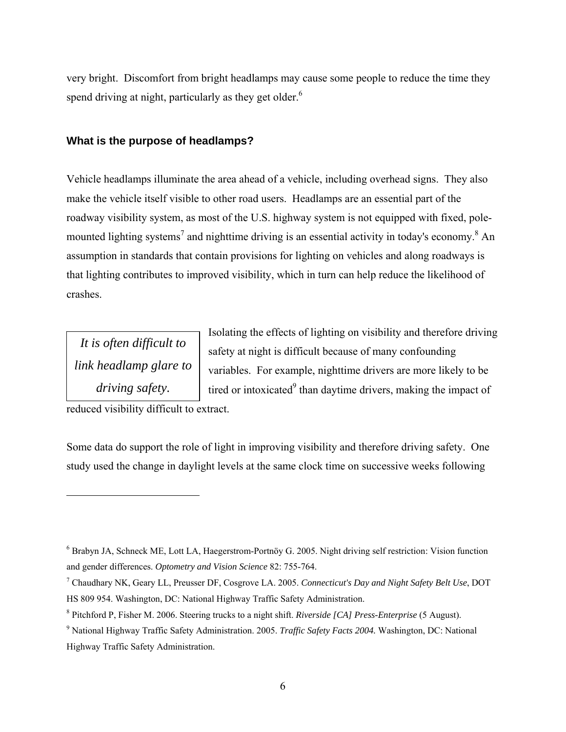very bright. Discomfort from bright headlamps may cause some people to reduce the time they spend driving at night, particularly as they get older.<sup>6</sup>

#### **What is the purpose of headlamps?**

Vehicle headlamps illuminate the area ahead of a vehicle, including overhead signs. They also make the vehicle itself visible to other road users. Headlamps are an essential part of the roadway visibility system, as most of the U.S. highway system is not equipped with fixed, polemounted lighting systems<sup>7</sup> and nighttime driving is an essential activity in today's economy.<sup>8</sup> An assumption in standards that contain provisions for lighting on vehicles and along roadways is that lighting contributes to improved visibility, which in turn can help reduce the likelihood of crashes.

*It is often difficult to link headlamp glare to driving safety.* 

 $\overline{a}$ 

Isolating the effects of lighting on visibility and therefore driving safety at night is difficult because of many confounding variables. For example, nighttime drivers are more likely to be tired or intoxicated $9$  than daytime drivers, making the impact of

reduced visibility difficult to extract.

Some data do support the role of light in improving visibility and therefore driving safety. One study used the change in daylight levels at the same clock time on successive weeks following

<sup>&</sup>lt;sup>6</sup> Brabyn JA, Schneck ME, Lott LA, Haegerstrom-Portnöy G. 2005. Night driving self restriction: Vision function and gender differences. *Optometry and Vision Science* 82: 755-764.

<sup>7</sup> Chaudhary NK, Geary LL, Preusser DF, Cosgrove LA. 2005. *Connecticut's Day and Night Safety Belt Use*, DOT HS 809 954. Washington, DC: National Highway Traffic Safety Administration.

<sup>8</sup> Pitchford P, Fisher M. 2006. Steering trucks to a night shift. *Riverside [CA] Press-Enterprise* (5 August).

<sup>9</sup> National Highway Traffic Safety Administration. 2005. *Traffic Safety Facts 2004.* Washington, DC: National Highway Traffic Safety Administration.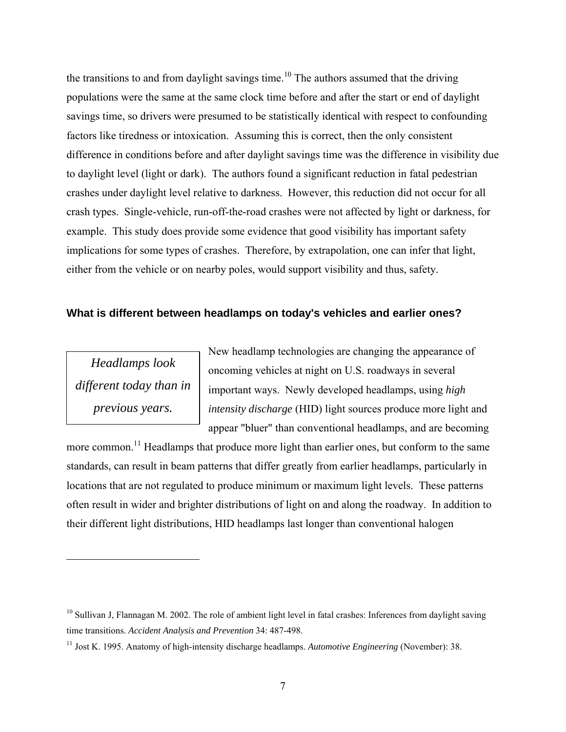the transitions to and from daylight savings time.<sup>10</sup> The authors assumed that the driving populations were the same at the same clock time before and after the start or end of daylight savings time, so drivers were presumed to be statistically identical with respect to confounding factors like tiredness or intoxication. Assuming this is correct, then the only consistent difference in conditions before and after daylight savings time was the difference in visibility due to daylight level (light or dark). The authors found a significant reduction in fatal pedestrian crashes under daylight level relative to darkness. However, this reduction did not occur for all crash types. Single-vehicle, run-off-the-road crashes were not affected by light or darkness, for example. This study does provide some evidence that good visibility has important safety implications for some types of crashes. Therefore, by extrapolation, one can infer that light, either from the vehicle or on nearby poles, would support visibility and thus, safety.

#### **What is different between headlamps on today's vehicles and earlier ones?**

*Headlamps look different today than in previous years.* 

 $\overline{a}$ 

New headlamp technologies are changing the appearance of oncoming vehicles at night on U.S. roadways in several important ways. Newly developed headlamps, using *high intensity discharge* (HID) light sources produce more light and appear "bluer" than conventional headlamps, and are becoming

more common.<sup>11</sup> Headlamps that produce more light than earlier ones, but conform to the same standards, can result in beam patterns that differ greatly from earlier headlamps, particularly in locations that are not regulated to produce minimum or maximum light levels. These patterns often result in wider and brighter distributions of light on and along the roadway. In addition to their different light distributions, HID headlamps last longer than conventional halogen

 $10$  Sullivan J, Flannagan M. 2002. The role of ambient light level in fatal crashes: Inferences from daylight saving time transitions. *Accident Analysis and Prevention* 34: 487-498.

<sup>11</sup> Jost K. 1995. Anatomy of high-intensity discharge headlamps. *Automotive Engineering* (November): 38.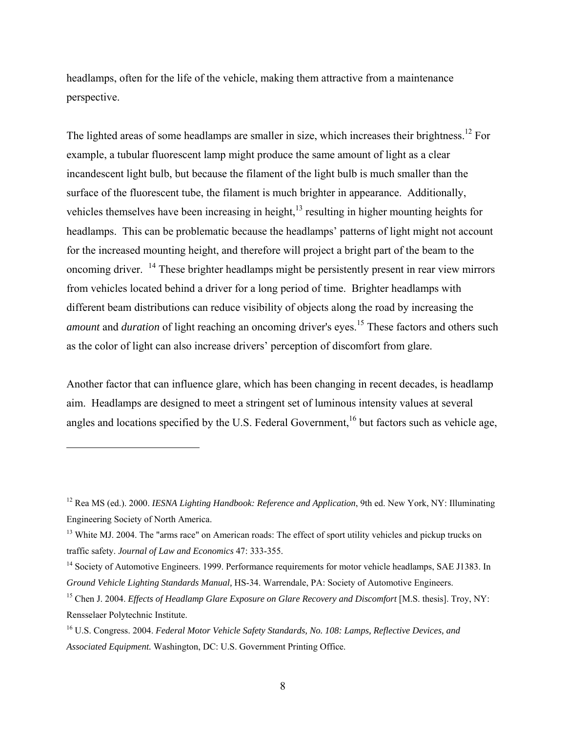headlamps, often for the life of the vehicle, making them attractive from a maintenance perspective.

The lighted areas of some headlamps are smaller in size, which increases their brightness.<sup>12</sup> For example, a tubular fluorescent lamp might produce the same amount of light as a clear incandescent light bulb, but because the filament of the light bulb is much smaller than the surface of the fluorescent tube, the filament is much brighter in appearance. Additionally, vehicles themselves have been increasing in height, $13$  resulting in higher mounting heights for headlamps. This can be problematic because the headlamps' patterns of light might not account for the increased mounting height, and therefore will project a bright part of the beam to the oncoming driver. 14 These brighter headlamps might be persistently present in rear view mirrors from vehicles located behind a driver for a long period of time. Brighter headlamps with different beam distributions can reduce visibility of objects along the road by increasing the *amount* and *duration* of light reaching an oncoming driver's eyes.<sup>15</sup> These factors and others such as the color of light can also increase drivers' perception of discomfort from glare.

Another factor that can influence glare, which has been changing in recent decades, is headlamp aim. Headlamps are designed to meet a stringent set of luminous intensity values at several angles and locations specified by the U.S. Federal Government,<sup>16</sup> but factors such as vehicle age,

<u>.</u>

<sup>12</sup> Rea MS (ed.). 2000. *IESNA Lighting Handbook: Reference and Application*, 9th ed. New York, NY: Illuminating Engineering Society of North America.

<sup>&</sup>lt;sup>13</sup> White MJ. 2004. The "arms race" on American roads: The effect of sport utility vehicles and pickup trucks on traffic safety. *Journal of Law and Economics* 47: 333-355.

<sup>&</sup>lt;sup>14</sup> Society of Automotive Engineers. 1999. Performance requirements for motor vehicle headlamps, SAE J1383. In *Ground Vehicle Lighting Standards Manual,* HS-34. Warrendale, PA: Society of Automotive Engineers.

<sup>&</sup>lt;sup>15</sup> Chen J. 2004. *Effects of Headlamp Glare Exposure on Glare Recovery and Discomfort* [M.S. thesis]. Troy, NY: Rensselaer Polytechnic Institute.

<sup>16</sup> U.S. Congress. 2004. *Federal Motor Vehicle Safety Standards, No. 108: Lamps, Reflective Devices, and Associated Equipment.* Washington, DC: U.S. Government Printing Office.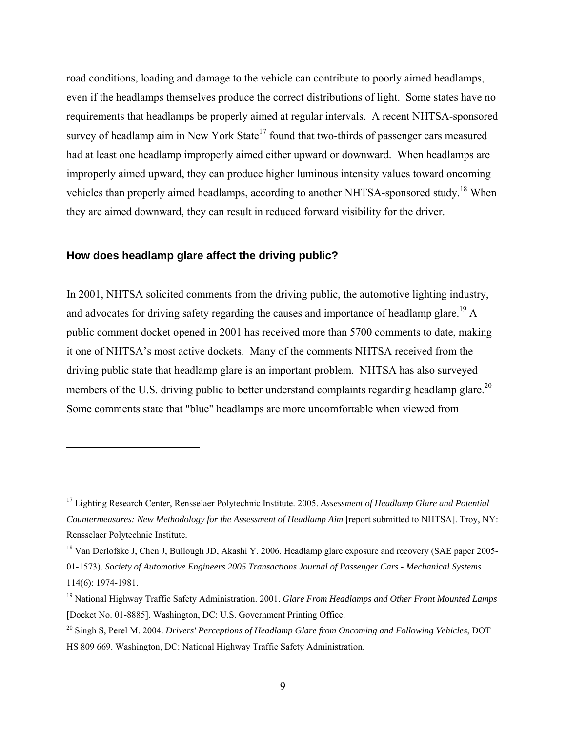road conditions, loading and damage to the vehicle can contribute to poorly aimed headlamps, even if the headlamps themselves produce the correct distributions of light. Some states have no requirements that headlamps be properly aimed at regular intervals. A recent NHTSA-sponsored survey of headlamp aim in New York State<sup>17</sup> found that two-thirds of passenger cars measured had at least one headlamp improperly aimed either upward or downward. When headlamps are improperly aimed upward, they can produce higher luminous intensity values toward oncoming vehicles than properly aimed headlamps, according to another NHTSA-sponsored study.18 When they are aimed downward, they can result in reduced forward visibility for the driver.

#### **How does headlamp glare affect the driving public?**

<u>.</u>

In 2001, NHTSA solicited comments from the driving public, the automotive lighting industry, and advocates for driving safety regarding the causes and importance of headlamp glare.<sup>19</sup> A public comment docket opened in 2001 has received more than 5700 comments to date, making it one of NHTSA's most active dockets. Many of the comments NHTSA received from the driving public state that headlamp glare is an important problem. NHTSA has also surveyed members of the U.S. driving public to better understand complaints regarding headlamp glare.<sup>20</sup> Some comments state that "blue" headlamps are more uncomfortable when viewed from

<sup>17</sup> Lighting Research Center, Rensselaer Polytechnic Institute. 2005. *Assessment of Headlamp Glare and Potential Countermeasures: New Methodology for the Assessment of Headlamp Aim* [report submitted to NHTSA]. Troy, NY: Rensselaer Polytechnic Institute.

<sup>&</sup>lt;sup>18</sup> Van Derlofske J, Chen J, Bullough JD, Akashi Y, 2006. Headlamp glare exposure and recovery (SAE paper 2005-01-1573). *Society of Automotive Engineers 2005 Transactions Journal of Passenger Cars - Mechanical Systems* 114(6): 1974-1981.

<sup>19</sup> National Highway Traffic Safety Administration. 2001. *Glare From Headlamps and Other Front Mounted Lamps* [Docket No. 01-8885]. Washington, DC: U.S. Government Printing Office.

<sup>20</sup> Singh S, Perel M. 2004. *Drivers' Perceptions of Headlamp Glare from Oncoming and Following Vehicles*, DOT HS 809 669. Washington, DC: National Highway Traffic Safety Administration.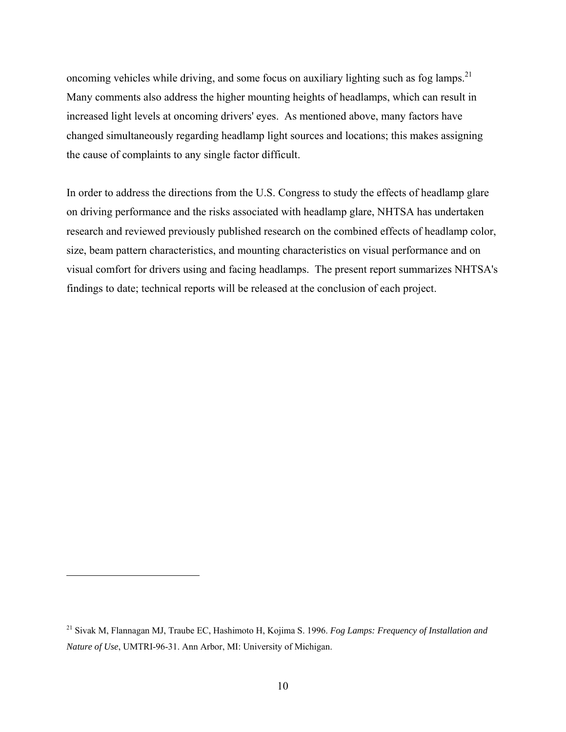oncoming vehicles while driving, and some focus on auxiliary lighting such as fog lamps.<sup>21</sup> Many comments also address the higher mounting heights of headlamps, which can result in increased light levels at oncoming drivers' eyes. As mentioned above, many factors have changed simultaneously regarding headlamp light sources and locations; this makes assigning the cause of complaints to any single factor difficult.

In order to address the directions from the U.S. Congress to study the effects of headlamp glare on driving performance and the risks associated with headlamp glare, NHTSA has undertaken research and reviewed previously published research on the combined effects of headlamp color, size, beam pattern characteristics, and mounting characteristics on visual performance and on visual comfort for drivers using and facing headlamps. The present report summarizes NHTSA's findings to date; technical reports will be released at the conclusion of each project.

<u>.</u>

<sup>21</sup> Sivak M, Flannagan MJ, Traube EC, Hashimoto H, Kojima S. 1996. *Fog Lamps: Frequency of Installation and Nature of Use*, UMTRI-96-31. Ann Arbor, MI: University of Michigan.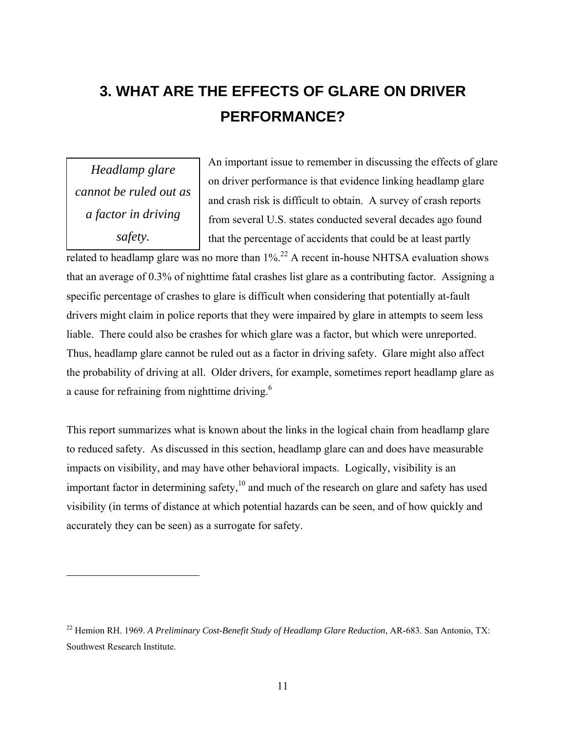# **3. WHAT ARE THE EFFECTS OF GLARE ON DRIVER PERFORMANCE?**

*Headlamp glare cannot be ruled out as a factor in driving safety.* 

 $\overline{a}$ 

An important issue to remember in discussing the effects of glare on driver performance is that evidence linking headlamp glare and crash risk is difficult to obtain. A survey of crash reports from several U.S. states conducted several decades ago found that the percentage of accidents that could be at least partly

related to headlamp glare was no more than  $1\%$ <sup>22</sup> A recent in-house NHTSA evaluation shows that an average of 0.3% of nighttime fatal crashes list glare as a contributing factor. Assigning a specific percentage of crashes to glare is difficult when considering that potentially at-fault drivers might claim in police reports that they were impaired by glare in attempts to seem less liable. There could also be crashes for which glare was a factor, but which were unreported. Thus, headlamp glare cannot be ruled out as a factor in driving safety. Glare might also affect the probability of driving at all. Older drivers, for example, sometimes report headlamp glare as a cause for refraining from nighttime driving.<sup>6</sup>

This report summarizes what is known about the links in the logical chain from headlamp glare to reduced safety. As discussed in this section, headlamp glare can and does have measurable impacts on visibility, and may have other behavioral impacts. Logically, visibility is an important factor in determining safety, $10$  and much of the research on glare and safety has used visibility (in terms of distance at which potential hazards can be seen, and of how quickly and accurately they can be seen) as a surrogate for safety.

<sup>22</sup> Hemion RH. 1969. *A Preliminary Cost-Benefit Study of Headlamp Glare Reduction*, AR-683. San Antonio, TX: Southwest Research Institute.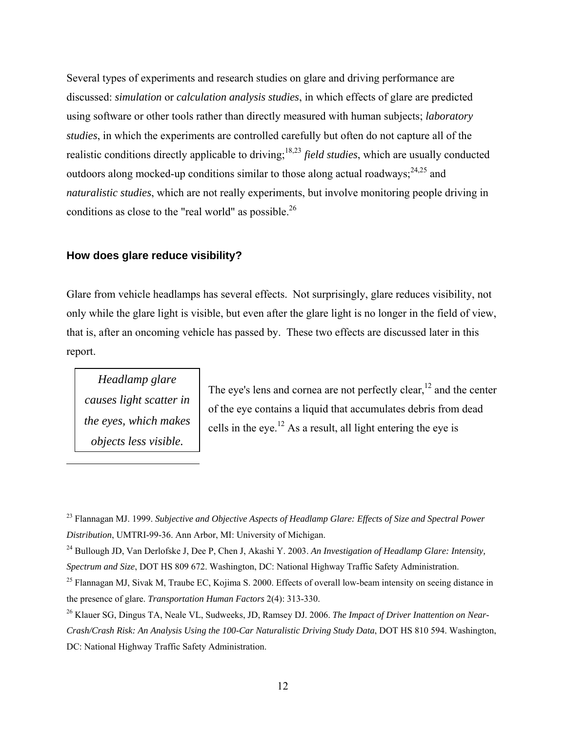Several types of experiments and research studies on glare and driving performance are discussed: *simulation* or *calculation analysis studies*, in which effects of glare are predicted using software or other tools rather than directly measured with human subjects; *laboratory studies*, in which the experiments are controlled carefully but often do not capture all of the realistic conditions directly applicable to driving;18,23 *field studies*, which are usually conducted outdoors along mocked-up conditions similar to those along actual roadways;  $2^{4,25}$  and *naturalistic studies*, which are not really experiments, but involve monitoring people driving in conditions as close to the "real world" as possible.<sup>26</sup>

#### **How does glare reduce visibility?**

Glare from vehicle headlamps has several effects. Not surprisingly, glare reduces visibility, not only while the glare light is visible, but even after the glare light is no longer in the field of view, that is, after an oncoming vehicle has passed by. These two effects are discussed later in this report.

*Headlamp glare causes light scatter in the eyes, which makes objects less visible.*

 $\overline{a}$ 

The eye's lens and cornea are not perfectly clear,  $12$  and the center of the eye contains a liquid that accumulates debris from dead cells in the eye.<sup>12</sup> As a result, all light entering the eye is

<sup>23</sup> Flannagan MJ. 1999. *Subjective and Objective Aspects of Headlamp Glare: Effects of Size and Spectral Power Distribution*, UMTRI-99-36. Ann Arbor, MI: University of Michigan.

<sup>24</sup> Bullough JD, Van Derlofske J, Dee P, Chen J, Akashi Y. 2003. *An Investigation of Headlamp Glare: Intensity, Spectrum and Size*, DOT HS 809 672. Washington, DC: National Highway Traffic Safety Administration.

 $^{25}$  Flannagan MJ, Sivak M, Traube EC, Kojima S. 2000. Effects of overall low-beam intensity on seeing distance in the presence of glare. *Transportation Human Factors* 2(4): 313-330.

<sup>26</sup> Klauer SG, Dingus TA, Neale VL, Sudweeks, JD, Ramsey DJ. 2006. *The Impact of Driver Inattention on Near-Crash/Crash Risk: An Analysis Using the 100-Car Naturalistic Driving Study Data*, DOT HS 810 594. Washington, DC: National Highway Traffic Safety Administration.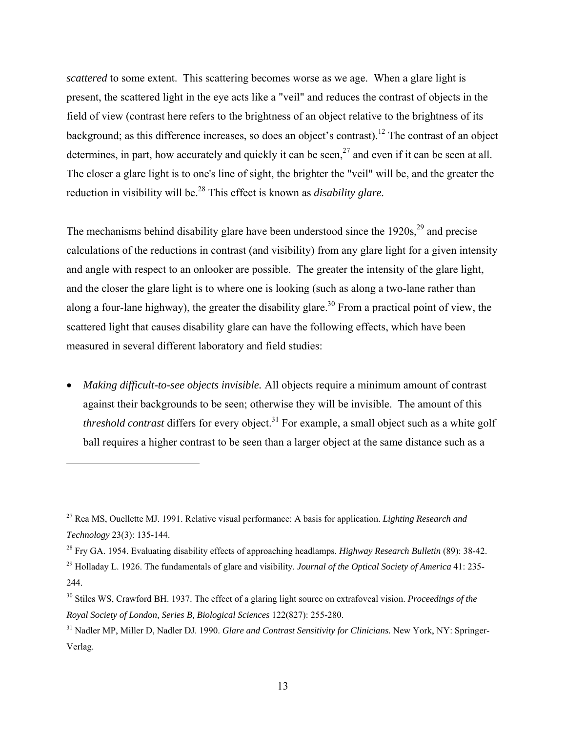*scattered* to some extent. This scattering becomes worse as we age. When a glare light is present, the scattered light in the eye acts like a "veil" and reduces the contrast of objects in the field of view (contrast here refers to the brightness of an object relative to the brightness of its background; as this difference increases, so does an object's contrast).12 The contrast of an object determines, in part, how accurately and quickly it can be seen,  $2^7$  and even if it can be seen at all. The closer a glare light is to one's line of sight, the brighter the "veil" will be, and the greater the reduction in visibility will be.<sup>28</sup> This effect is known as *disability glare*.

The mechanisms behind disability glare have been understood since the  $1920s<sup>29</sup>$  and precise calculations of the reductions in contrast (and visibility) from any glare light for a given intensity and angle with respect to an onlooker are possible. The greater the intensity of the glare light, and the closer the glare light is to where one is looking (such as along a two-lane rather than along a four-lane highway), the greater the disability glare.<sup>30</sup> From a practical point of view, the scattered light that causes disability glare can have the following effects, which have been measured in several different laboratory and field studies:

• *Making difficult-to-see objects invisible.* All objects require a minimum amount of contrast against their backgrounds to be seen; otherwise they will be invisible. The amount of this *threshold contrast* differs for every object.<sup>31</sup> For example, a small object such as a white golf ball requires a higher contrast to be seen than a larger object at the same distance such as a

<sup>27</sup> Rea MS, Ouellette MJ. 1991. Relative visual performance: A basis for application. *Lighting Research and Technology* 23(3): 135-144.

<sup>28</sup> Fry GA. 1954. Evaluating disability effects of approaching headlamps. *Highway Research Bulletin* (89): 38-42.

<sup>29</sup> Holladay L. 1926. The fundamentals of glare and visibility. *Journal of the Optical Society of America* 41: 235- 244.

<sup>30</sup> Stiles WS, Crawford BH. 1937. The effect of a glaring light source on extrafoveal vision. *Proceedings of the Royal Society of London, Series B, Biological Sciences* 122(827): 255-280.

<sup>31</sup> Nadler MP, Miller D, Nadler DJ. 1990. *Glare and Contrast Sensitivity for Clinicians.* New York, NY: Springer-Verlag.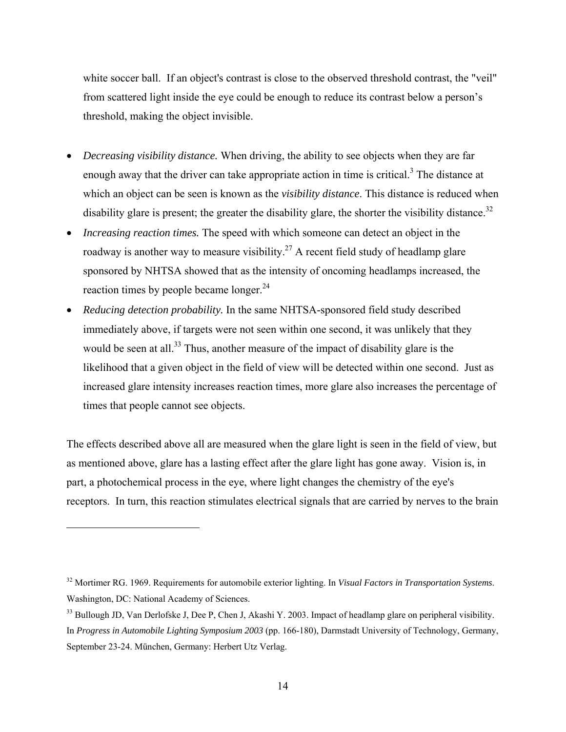white soccer ball. If an object's contrast is close to the observed threshold contrast, the "veil" from scattered light inside the eye could be enough to reduce its contrast below a person's threshold, making the object invisible.

- *Decreasing visibility distance.* When driving, the ability to see objects when they are far enough away that the driver can take appropriate action in time is critical.<sup>3</sup> The distance at which an object can be seen is known as the *visibility distance*. This distance is reduced when disability glare is present; the greater the disability glare, the shorter the visibility distance.<sup>32</sup>
- *Increasing reaction times.* The speed with which someone can detect an object in the roadway is another way to measure visibility.<sup>27</sup> A recent field study of headlamp glare sponsored by NHTSA showed that as the intensity of oncoming headlamps increased, the reaction times by people became longer.<sup>24</sup>
- *Reducing detection probability.* In the same NHTSA-sponsored field study described immediately above, if targets were not seen within one second, it was unlikely that they would be seen at all.<sup>33</sup> Thus, another measure of the impact of disability glare is the likelihood that a given object in the field of view will be detected within one second. Just as increased glare intensity increases reaction times, more glare also increases the percentage of times that people cannot see objects.

The effects described above all are measured when the glare light is seen in the field of view, but as mentioned above, glare has a lasting effect after the glare light has gone away. Vision is, in part, a photochemical process in the eye, where light changes the chemistry of the eye's receptors. In turn, this reaction stimulates electrical signals that are carried by nerves to the brain

<sup>32</sup> Mortimer RG. 1969. Requirements for automobile exterior lighting. In *Visual Factors in Transportation Systems*. Washington, DC: National Academy of Sciences.

 $33$  Bullough JD, Van Derlofske J, Dee P, Chen J, Akashi Y, 2003. Impact of headlamp glare on peripheral visibility. In *Progress in Automobile Lighting Symposium 2003* (pp. 166-180), Darmstadt University of Technology, Germany, September 23-24. München, Germany: Herbert Utz Verlag.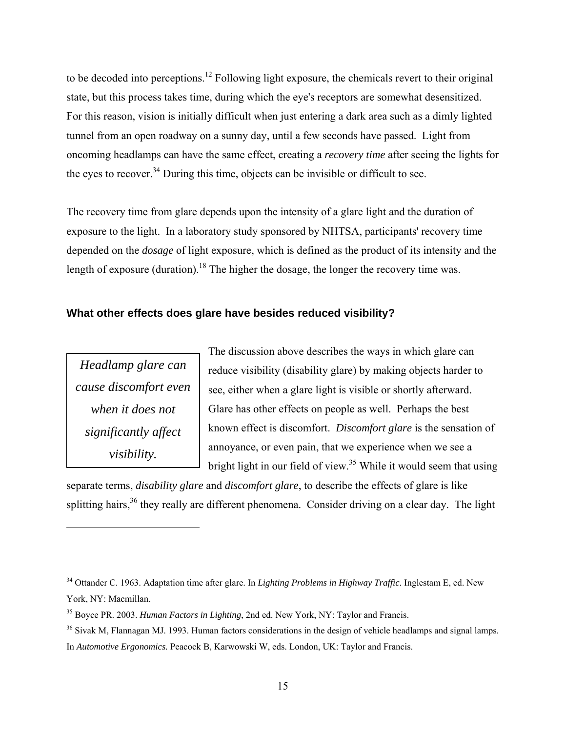to be decoded into perceptions.<sup>12</sup> Following light exposure, the chemicals revert to their original state, but this process takes time, during which the eye's receptors are somewhat desensitized. For this reason, vision is initially difficult when just entering a dark area such as a dimly lighted tunnel from an open roadway on a sunny day, until a few seconds have passed. Light from oncoming headlamps can have the same effect, creating a *recovery time* after seeing the lights for the eyes to recover.<sup>34</sup> During this time, objects can be invisible or difficult to see.

The recovery time from glare depends upon the intensity of a glare light and the duration of exposure to the light. In a laboratory study sponsored by NHTSA, participants' recovery time depended on the *dosage* of light exposure, which is defined as the product of its intensity and the length of exposure (duration).<sup>18</sup> The higher the dosage, the longer the recovery time was.

#### **What other effects does glare have besides reduced visibility?**

*Headlamp glare can cause discomfort even when it does not significantly affect visibility.* 

<u>.</u>

The discussion above describes the ways in which glare can reduce visibility (disability glare) by making objects harder to see, either when a glare light is visible or shortly afterward. Glare has other effects on people as well. Perhaps the best known effect is discomfort. *Discomfort glare* is the sensation of annoyance, or even pain, that we experience when we see a bright light in our field of view.<sup>35</sup> While it would seem that using

separate terms, *disability glare* and *discomfort glare*, to describe the effects of glare is like splitting hairs,  $36$  they really are different phenomena. Consider driving on a clear day. The light

<sup>34</sup> Ottander C. 1963. Adaptation time after glare. In *Lighting Problems in Highway Traffic*. Inglestam E, ed. New York, NY: Macmillan.

<sup>35</sup> Boyce PR. 2003. *Human Factors in Lighting*, 2nd ed. New York, NY: Taylor and Francis.

<sup>&</sup>lt;sup>36</sup> Sivak M, Flannagan MJ. 1993. Human factors considerations in the design of vehicle headlamps and signal lamps.

In *Automotive Ergonomics.* Peacock B, Karwowski W, eds. London, UK: Taylor and Francis.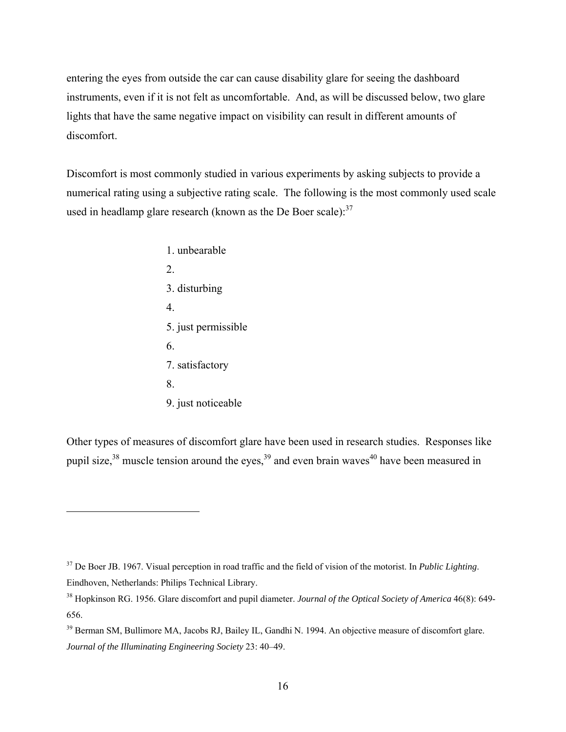entering the eyes from outside the car can cause disability glare for seeing the dashboard instruments, even if it is not felt as uncomfortable. And, as will be discussed below, two glare lights that have the same negative impact on visibility can result in different amounts of discomfort.

Discomfort is most commonly studied in various experiments by asking subjects to provide a numerical rating using a subjective rating scale. The following is the most commonly used scale used in headlamp glare research (known as the De Boer scale): $37$ 

 1. unbearable 2. 3. disturbing 4. 5. just permissible 6. 7. satisfactory 8. 9. just noticeable

 $\overline{a}$ 

Other types of measures of discomfort glare have been used in research studies. Responses like pupil size,  $38$  muscle tension around the eyes,  $39$  and even brain waves<sup>40</sup> have been measured in

<sup>37</sup> De Boer JB. 1967. Visual perception in road traffic and the field of vision of the motorist. In *Public Lighting*. Eindhoven, Netherlands: Philips Technical Library.

<sup>38</sup> Hopkinson RG. 1956. Glare discomfort and pupil diameter. *Journal of the Optical Society of America* 46(8): 649- 656.

<sup>&</sup>lt;sup>39</sup> Berman SM, Bullimore MA, Jacobs RJ, Bailey IL, Gandhi N. 1994. An objective measure of discomfort glare. *Journal of the Illuminating Engineering Society* 23: 40–49.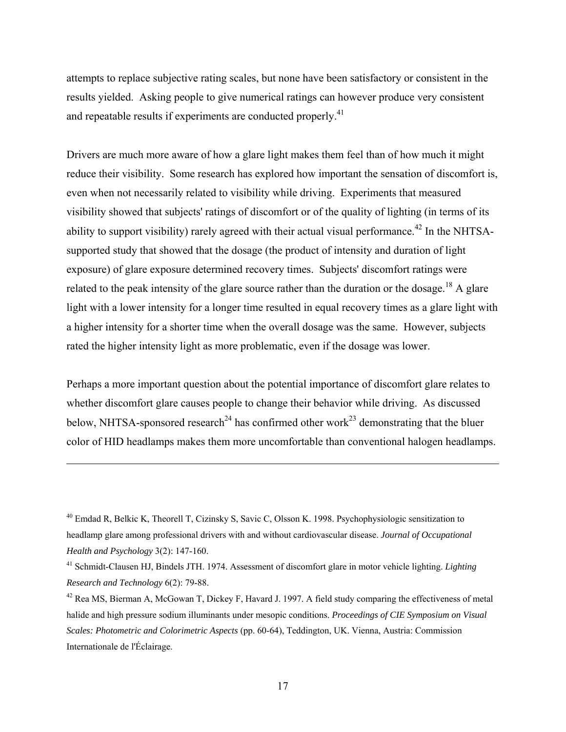attempts to replace subjective rating scales, but none have been satisfactory or consistent in the results yielded. Asking people to give numerical ratings can however produce very consistent and repeatable results if experiments are conducted properly.<sup>41</sup>

Drivers are much more aware of how a glare light makes them feel than of how much it might reduce their visibility. Some research has explored how important the sensation of discomfort is, even when not necessarily related to visibility while driving. Experiments that measured visibility showed that subjects' ratings of discomfort or of the quality of lighting (in terms of its ability to support visibility) rarely agreed with their actual visual performance.<sup>42</sup> In the NHTSAsupported study that showed that the dosage (the product of intensity and duration of light exposure) of glare exposure determined recovery times. Subjects' discomfort ratings were related to the peak intensity of the glare source rather than the duration or the dosage.<sup>18</sup> A glare light with a lower intensity for a longer time resulted in equal recovery times as a glare light with a higher intensity for a shorter time when the overall dosage was the same. However, subjects rated the higher intensity light as more problematic, even if the dosage was lower.

Perhaps a more important question about the potential importance of discomfort glare relates to whether discomfort glare causes people to change their behavior while driving. As discussed below, NHTSA-sponsored research<sup>24</sup> has confirmed other work<sup>23</sup> demonstrating that the bluer color of HID headlamps makes them more uncomfortable than conventional halogen headlamps.

<u>.</u>

<sup>&</sup>lt;sup>40</sup> Emdad R, Belkic K, Theorell T, Cizinsky S, Savic C, Olsson K. 1998. Psychophysiologic sensitization to headlamp glare among professional drivers with and without cardiovascular disease. *Journal of Occupational Health and Psychology* 3(2): 147-160.

<sup>41</sup> Schmidt-Clausen HJ, Bindels JTH. 1974. Assessment of discomfort glare in motor vehicle lighting. *Lighting Research and Technology* 6(2): 79-88.

 $42$  Rea MS, Bierman A, McGowan T, Dickey F, Havard J. 1997. A field study comparing the effectiveness of metal halide and high pressure sodium illuminants under mesopic conditions. *Proceedings of CIE Symposium on Visual Scales: Photometric and Colorimetric Aspects* (pp. 60-64), Teddington, UK. Vienna, Austria: Commission Internationale de l'Éclairage.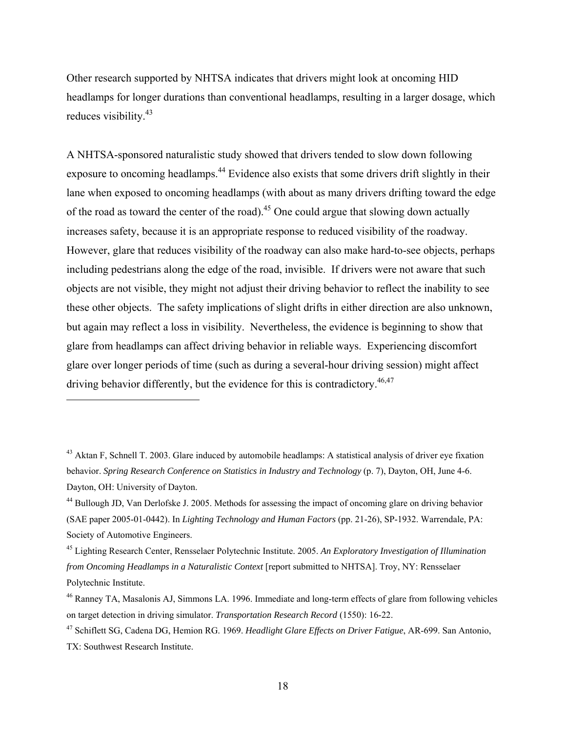Other research supported by NHTSA indicates that drivers might look at oncoming HID headlamps for longer durations than conventional headlamps, resulting in a larger dosage, which reduces visibility.<sup>43</sup>

A NHTSA-sponsored naturalistic study showed that drivers tended to slow down following exposure to oncoming headlamps.<sup>44</sup> Evidence also exists that some drivers drift slightly in their lane when exposed to oncoming headlamps (with about as many drivers drifting toward the edge of the road as toward the center of the road).<sup>45</sup> One could argue that slowing down actually increases safety, because it is an appropriate response to reduced visibility of the roadway. However, glare that reduces visibility of the roadway can also make hard-to-see objects, perhaps including pedestrians along the edge of the road, invisible. If drivers were not aware that such objects are not visible, they might not adjust their driving behavior to reflect the inability to see these other objects. The safety implications of slight drifts in either direction are also unknown, but again may reflect a loss in visibility. Nevertheless, the evidence is beginning to show that glare from headlamps can affect driving behavior in reliable ways. Experiencing discomfort glare over longer periods of time (such as during a several-hour driving session) might affect driving behavior differently, but the evidence for this is contradictory.<sup>46,47</sup>

<sup>&</sup>lt;sup>43</sup> Aktan F, Schnell T, 2003. Glare induced by automobile headlamps: A statistical analysis of driver eye fixation behavior. *Spring Research Conference on Statistics in Industry and Technology* (p. 7), Dayton, OH, June 4-6. Dayton, OH: University of Dayton.

<sup>44</sup> Bullough JD, Van Derlofske J. 2005. Methods for assessing the impact of oncoming glare on driving behavior (SAE paper 2005-01-0442). In *Lighting Technology and Human Factors* (pp. 21-26), SP-1932. Warrendale, PA: Society of Automotive Engineers.

<sup>45</sup> Lighting Research Center, Rensselaer Polytechnic Institute. 2005. *An Exploratory Investigation of Illumination from Oncoming Headlamps in a Naturalistic Context* [report submitted to NHTSA]. Troy, NY: Rensselaer Polytechnic Institute.

<sup>&</sup>lt;sup>46</sup> Ranney TA, Masalonis AJ, Simmons LA. 1996. Immediate and long-term effects of glare from following vehicles on target detection in driving simulator. *Transportation Research Record* (1550): 16-22.

<sup>47</sup> Schiflett SG, Cadena DG, Hemion RG. 1969. *Headlight Glare Effects on Driver Fatigue*, AR-699. San Antonio, TX: Southwest Research Institute.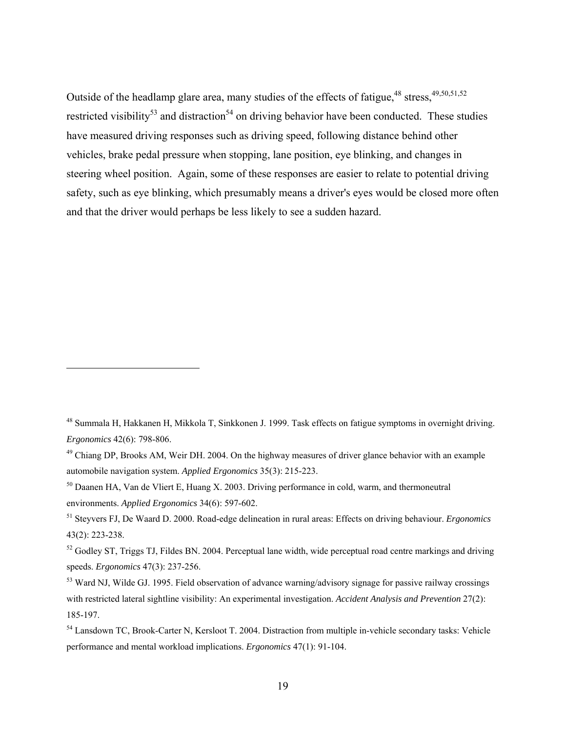Outside of the headlamp glare area, many studies of the effects of fatigue,<sup>48</sup> stress,<sup>49,50,51,52</sup> restricted visibility<sup>53</sup> and distraction<sup>54</sup> on driving behavior have been conducted. These studies have measured driving responses such as driving speed, following distance behind other vehicles, brake pedal pressure when stopping, lane position, eye blinking, and changes in steering wheel position. Again, some of these responses are easier to relate to potential driving safety, such as eye blinking, which presumably means a driver's eyes would be closed more often and that the driver would perhaps be less likely to see a sudden hazard.

<u>.</u>

<sup>48</sup> Summala H, Hakkanen H, Mikkola T, Sinkkonen J. 1999. Task effects on fatigue symptoms in overnight driving. *Ergonomics* 42(6): 798-806.

 $49$  Chiang DP, Brooks AM, Weir DH, 2004. On the highway measures of driver glance behavior with an example automobile navigation system. *Applied Ergonomics* 35(3): 215-223.

<sup>&</sup>lt;sup>50</sup> Daanen HA, Van de Vliert E, Huang X. 2003. Driving performance in cold, warm, and thermoneutral environments. *Applied Ergonomics* 34(6): 597-602.

<sup>51</sup> Steyvers FJ, De Waard D. 2000. Road-edge delineation in rural areas: Effects on driving behaviour. *Ergonomics* 43(2): 223-238.

 $52$  Godley ST, Triggs TJ, Fildes BN, 2004. Perceptual lane width, wide perceptual road centre markings and driving speeds. *Ergonomics* 47(3): 237-256.

<sup>&</sup>lt;sup>53</sup> Ward NJ, Wilde GJ. 1995. Field observation of advance warning/advisory signage for passive railway crossings with restricted lateral sightline visibility: An experimental investigation. *Accident Analysis and Prevention* 27(2): 185-197.

<sup>&</sup>lt;sup>54</sup> Lansdown TC, Brook-Carter N, Kersloot T. 2004. Distraction from multiple in-vehicle secondary tasks: Vehicle performance and mental workload implications. *Ergonomics* 47(1): 91-104.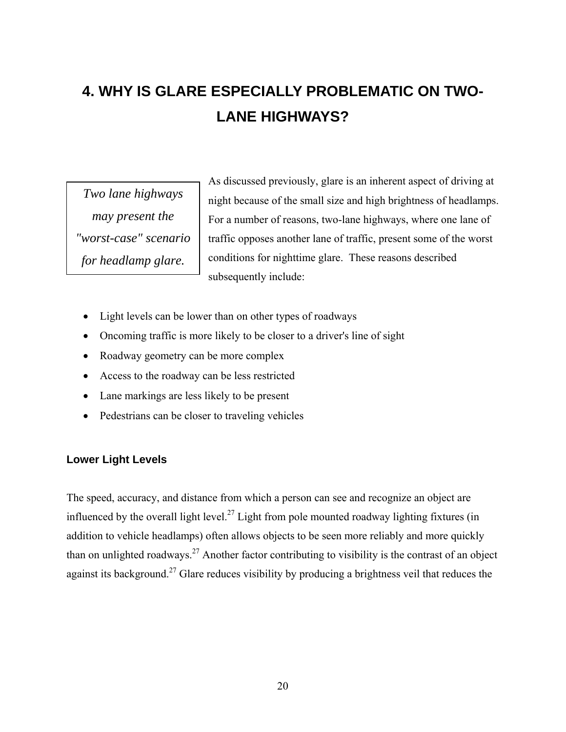# **4. WHY IS GLARE ESPECIALLY PROBLEMATIC ON TWO-LANE HIGHWAYS?**

*Two lane highways may present the "worst-case" scenario for headlamp glare.* 

As discussed previously, glare is an inherent aspect of driving at night because of the small size and high brightness of headlamps. For a number of reasons, two-lane highways, where one lane of traffic opposes another lane of traffic, present some of the worst conditions for nighttime glare. These reasons described subsequently include:

- Light levels can be lower than on other types of roadways
- Oncoming traffic is more likely to be closer to a driver's line of sight
- Roadway geometry can be more complex
- Access to the roadway can be less restricted
- Lane markings are less likely to be present
- Pedestrians can be closer to traveling vehicles

#### **Lower Light Levels**

The speed, accuracy, and distance from which a person can see and recognize an object are influenced by the overall light level.<sup>27</sup> Light from pole mounted roadway lighting fixtures (in addition to vehicle headlamps) often allows objects to be seen more reliably and more quickly than on unlighted roadways.<sup>27</sup> Another factor contributing to visibility is the contrast of an object against its background.<sup>27</sup> Glare reduces visibility by producing a brightness veil that reduces the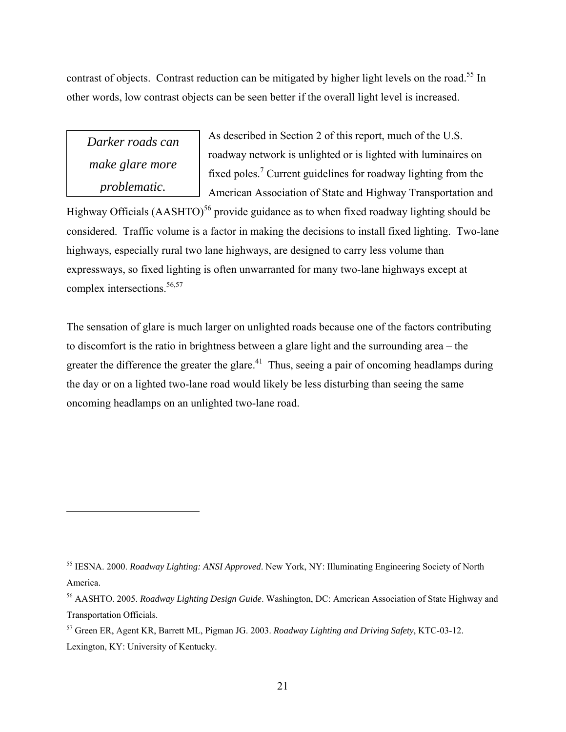contrast of objects. Contrast reduction can be mitigated by higher light levels on the road.<sup>55</sup> In other words, low contrast objects can be seen better if the overall light level is increased.

*Darker roads can make glare more problematic.* 

 $\overline{a}$ 

As described in Section 2 of this report, much of the U.S. roadway network is unlighted or is lighted with luminaires on fixed poles.<sup>7</sup> Current guidelines for roadway lighting from the American Association of State and Highway Transportation and

Highway Officials  $(AASHTO)^{56}$  provide guidance as to when fixed roadway lighting should be considered. Traffic volume is a factor in making the decisions to install fixed lighting. Two-lane highways, especially rural two lane highways, are designed to carry less volume than expressways, so fixed lighting is often unwarranted for many two-lane highways except at complex intersections.<sup>56,57</sup>

The sensation of glare is much larger on unlighted roads because one of the factors contributing to discomfort is the ratio in brightness between a glare light and the surrounding area – the greater the difference the greater the glare.<sup>41</sup> Thus, seeing a pair of oncoming headlamps during the day or on a lighted two-lane road would likely be less disturbing than seeing the same oncoming headlamps on an unlighted two-lane road.

<sup>55</sup> IESNA. 2000. *Roadway Lighting: ANSI Approved*. New York, NY: Illuminating Engineering Society of North America.

<sup>56</sup> AASHTO. 2005. *Roadway Lighting Design Guide*. Washington, DC: American Association of State Highway and Transportation Officials.

<sup>57</sup> Green ER, Agent KR, Barrett ML, Pigman JG. 2003. *Roadway Lighting and Driving Safety*, KTC-03-12. Lexington, KY: University of Kentucky.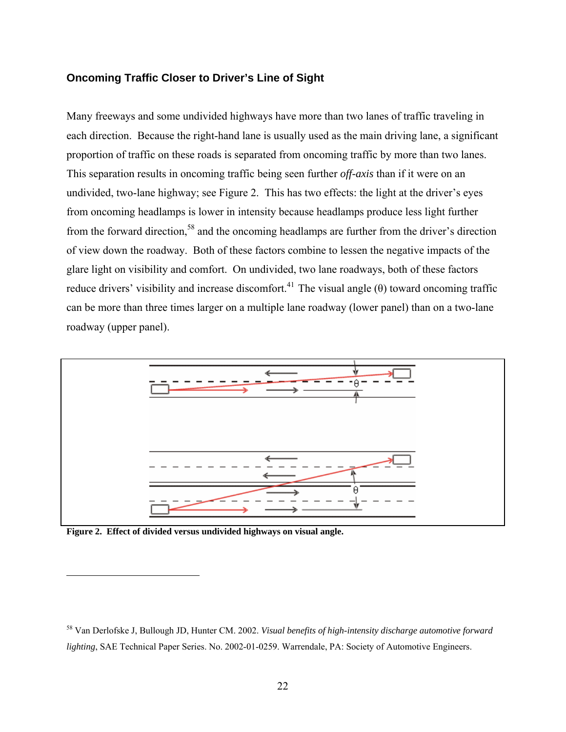#### **Oncoming Traffic Closer to Driver's Line of Sight**

Many freeways and some undivided highways have more than two lanes of traffic traveling in each direction. Because the right-hand lane is usually used as the main driving lane, a significant proportion of traffic on these roads is separated from oncoming traffic by more than two lanes. This separation results in oncoming traffic being seen further *off-axis* than if it were on an undivided, two-lane highway; see Figure 2. This has two effects: the light at the driver's eyes from oncoming headlamps is lower in intensity because headlamps produce less light further from the forward direction,<sup>58</sup> and the oncoming headlamps are further from the driver's direction of view down the roadway. Both of these factors combine to lessen the negative impacts of the glare light on visibility and comfort. On undivided, two lane roadways, both of these factors reduce drivers' visibility and increase discomfort.<sup>41</sup> The visual angle (θ) toward oncoming traffic can be more than three times larger on a multiple lane roadway (lower panel) than on a two-lane roadway (upper panel).



**Figure 2. Effect of divided versus undivided highways on visual angle.** 

<sup>58</sup> Van Derlofske J, Bullough JD, Hunter CM. 2002. *Visual benefits of high-intensity discharge automotive forward lighting*, SAE Technical Paper Series. No. 2002-01-0259. Warrendale, PA: Society of Automotive Engineers.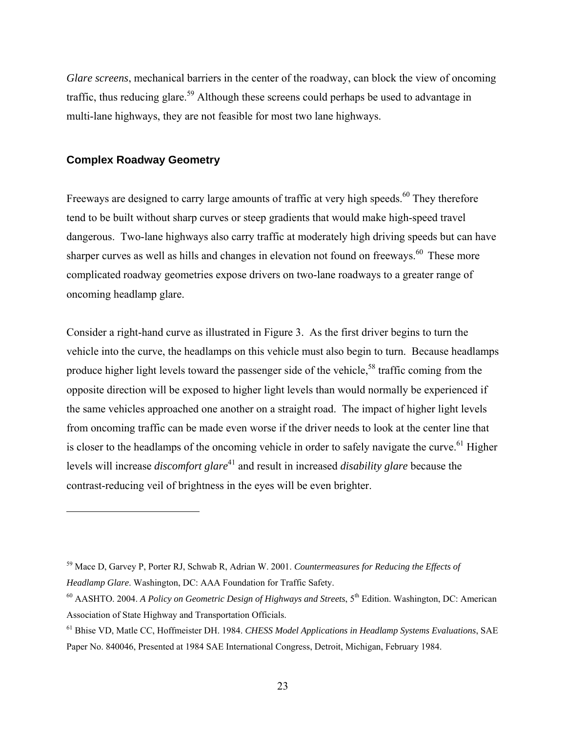*Glare screens*, mechanical barriers in the center of the roadway, can block the view of oncoming traffic, thus reducing glare.<sup>59</sup> Although these screens could perhaps be used to advantage in multi-lane highways, they are not feasible for most two lane highways.

#### **Complex Roadway Geometry**

 $\overline{a}$ 

Freeways are designed to carry large amounts of traffic at very high speeds.<sup>60</sup> They therefore tend to be built without sharp curves or steep gradients that would make high-speed travel dangerous. Two-lane highways also carry traffic at moderately high driving speeds but can have sharper curves as well as hills and changes in elevation not found on freeways.<sup>60</sup> These more complicated roadway geometries expose drivers on two-lane roadways to a greater range of oncoming headlamp glare.

Consider a right-hand curve as illustrated in Figure 3. As the first driver begins to turn the vehicle into the curve, the headlamps on this vehicle must also begin to turn. Because headlamps produce higher light levels toward the passenger side of the vehicle,<sup>58</sup> traffic coming from the opposite direction will be exposed to higher light levels than would normally be experienced if the same vehicles approached one another on a straight road. The impact of higher light levels from oncoming traffic can be made even worse if the driver needs to look at the center line that is closer to the headlamps of the oncoming vehicle in order to safely navigate the curve.<sup>61</sup> Higher levels will increase *discomfort glare*<sup>41</sup> and result in increased *disability glare* because the contrast-reducing veil of brightness in the eyes will be even brighter.

<sup>59</sup> Mace D, Garvey P, Porter RJ, Schwab R, Adrian W. 2001. *Countermeasures for Reducing the Effects of Headlamp Glare*. Washington, DC: AAA Foundation for Traffic Safety.

<sup>&</sup>lt;sup>60</sup> AASHTO. 2004. *A Policy on Geometric Design of Highways and Streets*, 5<sup>th</sup> Edition. Washington, DC: American Association of State Highway and Transportation Officials.

<sup>61</sup> Bhise VD, Matle CC, Hoffmeister DH. 1984. *CHESS Model Applications in Headlamp Systems Evaluations*, SAE Paper No. 840046, Presented at 1984 SAE International Congress, Detroit, Michigan, February 1984.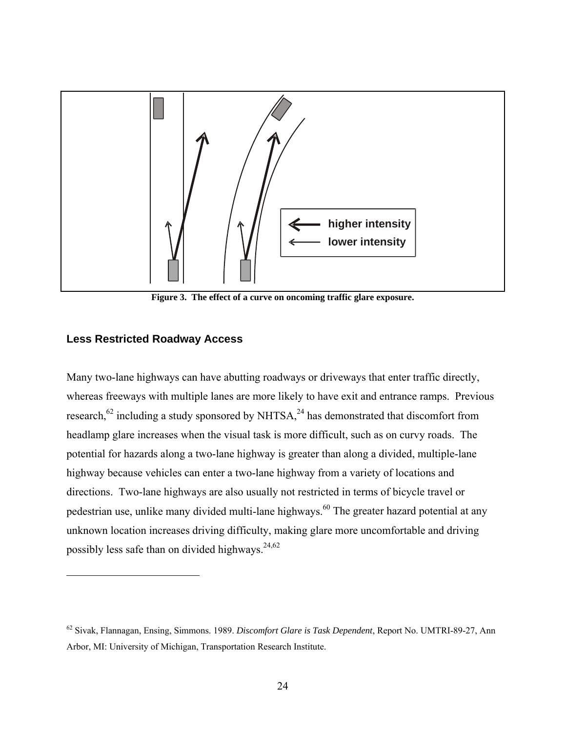

**Figure 3. The effect of a curve on oncoming traffic glare exposure.** 

#### **Less Restricted Roadway Access**

 $\overline{a}$ 

Many two-lane highways can have abutting roadways or driveways that enter traffic directly, whereas freeways with multiple lanes are more likely to have exit and entrance ramps. Previous research,<sup>62</sup> including a study sponsored by NHTSA,<sup>24</sup> has demonstrated that discomfort from headlamp glare increases when the visual task is more difficult, such as on curvy roads. The potential for hazards along a two-lane highway is greater than along a divided, multiple-lane highway because vehicles can enter a two-lane highway from a variety of locations and directions. Two-lane highways are also usually not restricted in terms of bicycle travel or pedestrian use, unlike many divided multi-lane highways.<sup>60</sup> The greater hazard potential at any unknown location increases driving difficulty, making glare more uncomfortable and driving possibly less safe than on divided highways.  $24,62$ 

<sup>62</sup> Sivak, Flannagan, Ensing, Simmons. 1989. *Discomfort Glare is Task Dependent*, Report No. UMTRI-89-27, Ann Arbor, MI: University of Michigan, Transportation Research Institute.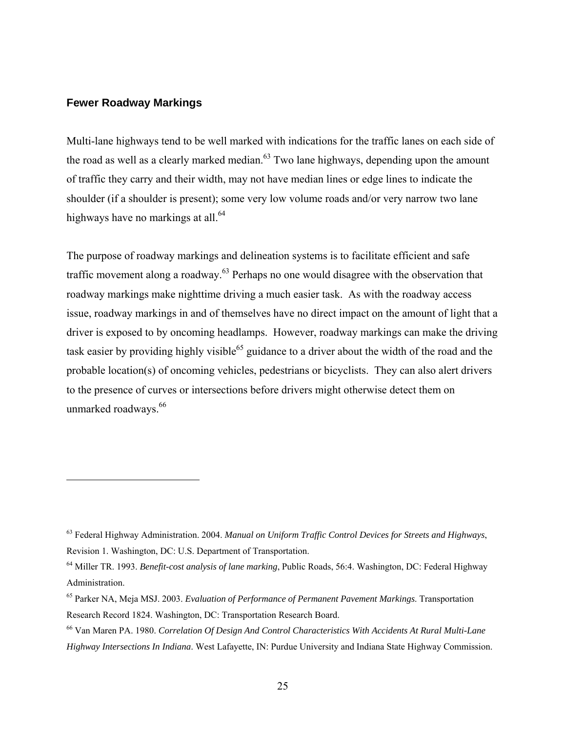#### **Fewer Roadway Markings**

 $\overline{a}$ 

Multi-lane highways tend to be well marked with indications for the traffic lanes on each side of the road as well as a clearly marked median.<sup>63</sup> Two lane highways, depending upon the amount of traffic they carry and their width, may not have median lines or edge lines to indicate the shoulder (if a shoulder is present); some very low volume roads and/or very narrow two lane highways have no markings at all. $^{64}$ 

The purpose of roadway markings and delineation systems is to facilitate efficient and safe traffic movement along a roadway.<sup>63</sup> Perhaps no one would disagree with the observation that roadway markings make nighttime driving a much easier task. As with the roadway access issue, roadway markings in and of themselves have no direct impact on the amount of light that a driver is exposed to by oncoming headlamps. However, roadway markings can make the driving task easier by providing highly visible<sup>65</sup> guidance to a driver about the width of the road and the probable location(s) of oncoming vehicles, pedestrians or bicyclists. They can also alert drivers to the presence of curves or intersections before drivers might otherwise detect them on unmarked roadways.<sup>66</sup>

<sup>63</sup> Federal Highway Administration. 2004. *Manual on Uniform Traffic Control Devices for Streets and Highways*, Revision 1. Washington, DC: U.S. Department of Transportation.

<sup>64</sup> Miller TR. 1993. *Benefit-cost analysis of lane marking*, Public Roads, 56:4. Washington, DC: Federal Highway Administration.

<sup>65</sup> Parker NA, Meja MSJ. 2003. *Evaluation of Performance of Permanent Pavement Markings*. Transportation Research Record 1824. Washington, DC: Transportation Research Board.

<sup>66</sup> Van Maren PA. 1980. *Correlation Of Design And Control Characteristics With Accidents At Rural Multi-Lane Highway Intersections In Indiana*. West Lafayette, IN: Purdue University and Indiana State Highway Commission.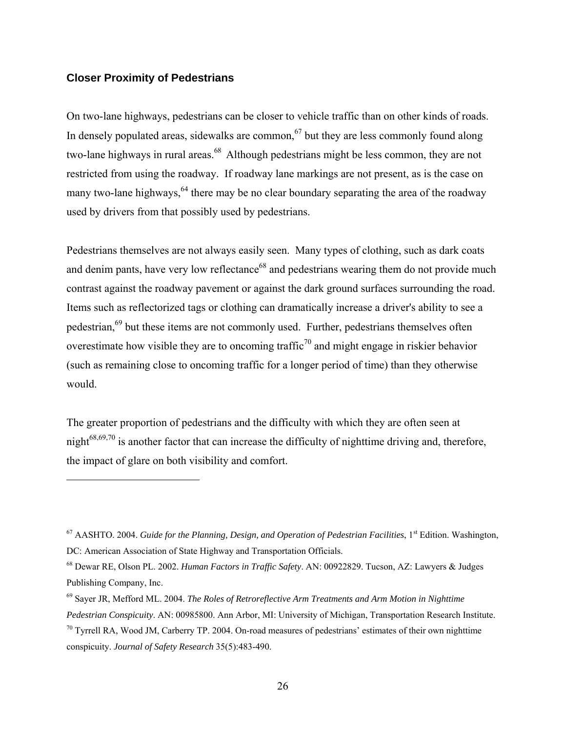#### **Closer Proximity of Pedestrians**

 $\overline{a}$ 

On two-lane highways, pedestrians can be closer to vehicle traffic than on other kinds of roads. In densely populated areas, sidewalks are common, $67$  but they are less commonly found along two-lane highways in rural areas.<sup>68</sup> Although pedestrians might be less common, they are not restricted from using the roadway. If roadway lane markings are not present, as is the case on many two-lane highways,  $64$  there may be no clear boundary separating the area of the roadway used by drivers from that possibly used by pedestrians.

Pedestrians themselves are not always easily seen. Many types of clothing, such as dark coats and denim pants, have very low reflectance<sup>68</sup> and pedestrians wearing them do not provide much contrast against the roadway pavement or against the dark ground surfaces surrounding the road. Items such as reflectorized tags or clothing can dramatically increase a driver's ability to see a pedestrian,<sup>69</sup> but these items are not commonly used. Further, pedestrians themselves often overestimate how visible they are to oncoming traffic<sup>70</sup> and might engage in riskier behavior (such as remaining close to oncoming traffic for a longer period of time) than they otherwise would.

The greater proportion of pedestrians and the difficulty with which they are often seen at night $^{68,69,70}$  is another factor that can increase the difficulty of nighttime driving and, therefore, the impact of glare on both visibility and comfort.

<sup>&</sup>lt;sup>67</sup> AASHTO. 2004. *Guide for the Planning, Design, and Operation of Pedestrian Facilities*, 1<sup>st</sup> Edition. Washington, DC: American Association of State Highway and Transportation Officials.

<sup>68</sup> Dewar RE, Olson PL. 2002. *Human Factors in Traffic Safety*. AN: 00922829. Tucson, AZ: Lawyers & Judges Publishing Company, Inc.

<sup>69</sup> Sayer JR, Mefford ML. 2004. *The Roles of Retroreflective Arm Treatments and Arm Motion in Nighttime Pedestrian Conspicuity*. AN: 00985800. Ann Arbor, MI: University of Michigan, Transportation Research Institute.

 $70$  Tyrrell RA, Wood JM, Carberry TP. 2004. On-road measures of pedestrians' estimates of their own nighttime conspicuity. *Journal of Safety Research* 35(5):483-490.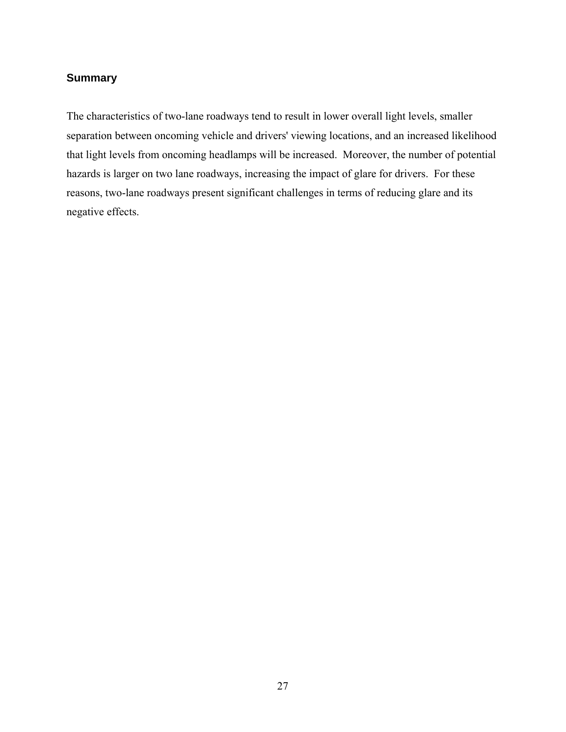#### **Summary**

The characteristics of two-lane roadways tend to result in lower overall light levels, smaller separation between oncoming vehicle and drivers' viewing locations, and an increased likelihood that light levels from oncoming headlamps will be increased. Moreover, the number of potential hazards is larger on two lane roadways, increasing the impact of glare for drivers. For these reasons, two-lane roadways present significant challenges in terms of reducing glare and its negative effects.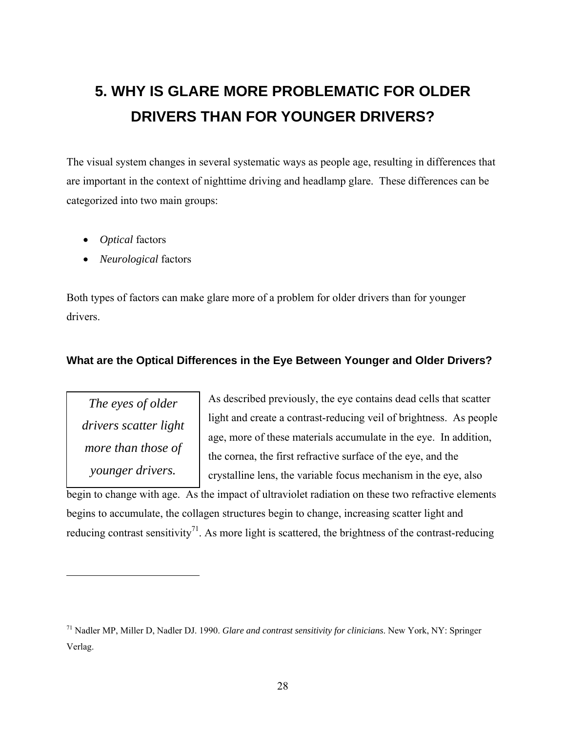# **5. WHY IS GLARE MORE PROBLEMATIC FOR OLDER DRIVERS THAN FOR YOUNGER DRIVERS?**

The visual system changes in several systematic ways as people age, resulting in differences that are important in the context of nighttime driving and headlamp glare. These differences can be categorized into two main groups:

- *Optical* factors
- *Neurological* factors

Both types of factors can make glare more of a problem for older drivers than for younger drivers.

#### **What are the Optical Differences in the Eye Between Younger and Older Drivers?**

*The eyes of older drivers scatter light more than those of younger drivers.* 

<u>.</u>

As described previously, the eye contains dead cells that scatter light and create a contrast-reducing veil of brightness. As people age, more of these materials accumulate in the eye. In addition, the cornea, the first refractive surface of the eye, and the crystalline lens, the variable focus mechanism in the eye, also

begin to change with age. As the impact of ultraviolet radiation on these two refractive elements begins to accumulate, the collagen structures begin to change, increasing scatter light and reducing contrast sensitivity<sup>71</sup>. As more light is scattered, the brightness of the contrast-reducing

<sup>71</sup> Nadler MP, Miller D, Nadler DJ. 1990. *Glare and contrast sensitivity for clinicians*. New York, NY: Springer Verlag.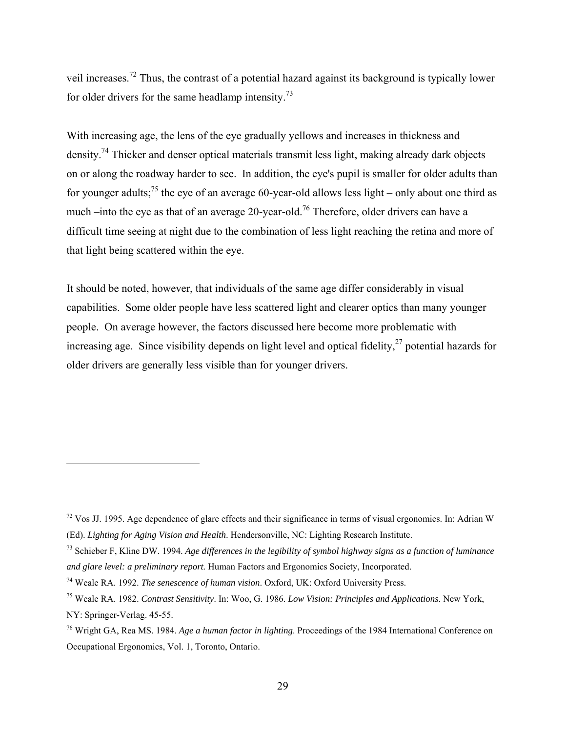veil increases.72 Thus, the contrast of a potential hazard against its background is typically lower for older drivers for the same headlamp intensity.<sup>73</sup>

With increasing age, the lens of the eye gradually yellows and increases in thickness and density.<sup>74</sup> Thicker and denser optical materials transmit less light, making already dark objects on or along the roadway harder to see. In addition, the eye's pupil is smaller for older adults than for younger adults;<sup>75</sup> the eye of an average 60-year-old allows less light – only about one third as much –into the eye as that of an average 20-year-old.<sup>76</sup> Therefore, older drivers can have a difficult time seeing at night due to the combination of less light reaching the retina and more of that light being scattered within the eye.

It should be noted, however, that individuals of the same age differ considerably in visual capabilities. Some older people have less scattered light and clearer optics than many younger people. On average however, the factors discussed here become more problematic with increasing age. Since visibility depends on light level and optical fidelity, $27$  potential hazards for older drivers are generally less visible than for younger drivers.

 $72$  Vos JJ. 1995. Age dependence of glare effects and their significance in terms of visual ergonomics. In: Adrian W (Ed). *Lighting for Aging Vision and Health*. Hendersonville, NC: Lighting Research Institute.

<sup>73</sup> Schieber F, Kline DW. 1994. *Age differences in the legibility of symbol highway signs as a function of luminance and glare level: a preliminary report.* Human Factors and Ergonomics Society, Incorporated.

<sup>74</sup> Weale RA. 1992. *The senescence of human vision*. Oxford, UK: Oxford University Press.

<sup>75</sup> Weale RA. 1982. *Contrast Sensitivity*. In: Woo, G. 1986. *Low Vision: Principles and Applications*. New York, NY: Springer-Verlag. 45-55.

<sup>76</sup> Wright GA, Rea MS. 1984. *Age a human factor in lighting*. Proceedings of the 1984 International Conference on Occupational Ergonomics, Vol. 1, Toronto, Ontario.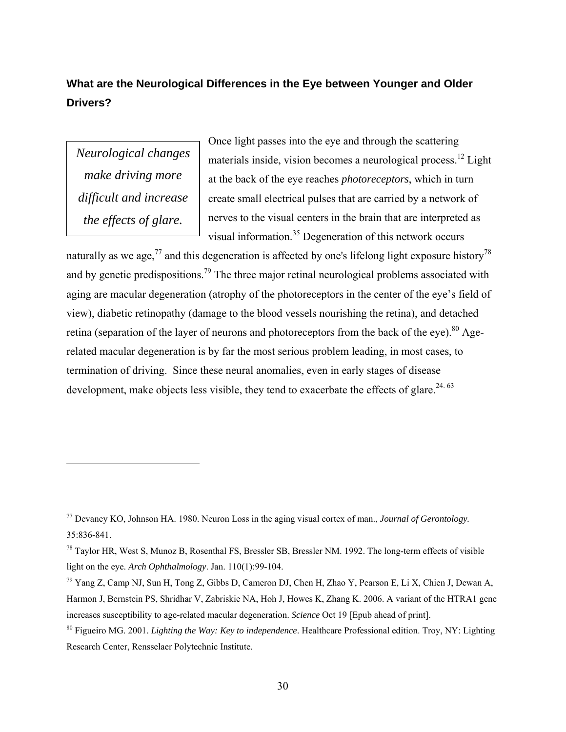### **What are the Neurological Differences in the Eye between Younger and Older Drivers?**

*Neurological changes make driving more difficult and increase the effects of glare.* 

<u>.</u>

Once light passes into the eye and through the scattering materials inside, vision becomes a neurological process.<sup>12</sup> Light at the back of the eye reaches *photoreceptors*, which in turn create small electrical pulses that are carried by a network of nerves to the visual centers in the brain that are interpreted as visual information.35 Degeneration of this network occurs

naturally as we age,<sup>77</sup> and this degeneration is affected by one's lifelong light exposure history<sup>78</sup> and by genetic predispositions.<sup>79</sup> The three major retinal neurological problems associated with aging are macular degeneration (atrophy of the photoreceptors in the center of the eye's field of view), diabetic retinopathy (damage to the blood vessels nourishing the retina), and detached retina (separation of the layer of neurons and photoreceptors from the back of the eye).<sup>80</sup> Agerelated macular degeneration is by far the most serious problem leading, in most cases, to termination of driving. Since these neural anomalies, even in early stages of disease development, make objects less visible, they tend to exacerbate the effects of glare.<sup>24. 63</sup>

<sup>77</sup> Devaney KO, Johnson HA. 1980. Neuron Loss in the aging visual cortex of man., *Journal of Gerontology.* 35:836-841.

<sup>78</sup> Taylor HR, West S, Munoz B, Rosenthal FS, Bressler SB, Bressler NM. 1992. The long-term effects of visible light on the eye. *Arch Ophthalmology*. Jan. 110(1):99-104.

<sup>79</sup> Yang Z, Camp NJ, Sun H, Tong Z, Gibbs D, Cameron DJ, Chen H, Zhao Y, Pearson E, Li X, Chien J, Dewan A, Harmon J, Bernstein PS, Shridhar V, Zabriskie NA, Hoh J, Howes K, Zhang K. 2006. A variant of the HTRA1 gene increases susceptibility to age-related macular degeneration. *Science* Oct 19 [Epub ahead of print].

<sup>80</sup> Figueiro MG. 2001. *Lighting the Way: Key to independence*. Healthcare Professional edition. Troy, NY: Lighting Research Center, Rensselaer Polytechnic Institute.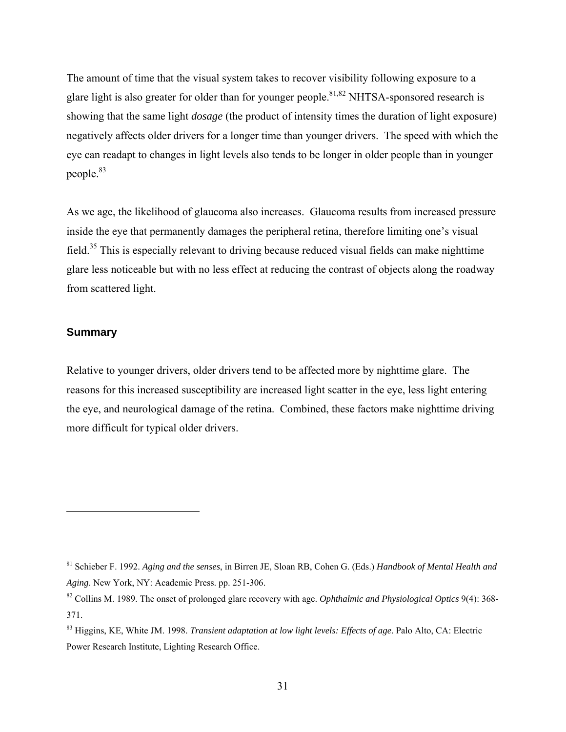The amount of time that the visual system takes to recover visibility following exposure to a glare light is also greater for older than for younger people.<sup>81,82</sup> NHTSA-sponsored research is showing that the same light *dosage* (the product of intensity times the duration of light exposure) negatively affects older drivers for a longer time than younger drivers. The speed with which the eye can readapt to changes in light levels also tends to be longer in older people than in younger people.83

As we age, the likelihood of glaucoma also increases. Glaucoma results from increased pressure inside the eye that permanently damages the peripheral retina, therefore limiting one's visual field.35 This is especially relevant to driving because reduced visual fields can make nighttime glare less noticeable but with no less effect at reducing the contrast of objects along the roadway from scattered light.

#### **Summary**

 $\overline{a}$ 

Relative to younger drivers, older drivers tend to be affected more by nighttime glare. The reasons for this increased susceptibility are increased light scatter in the eye, less light entering the eye, and neurological damage of the retina. Combined, these factors make nighttime driving more difficult for typical older drivers.

<sup>81</sup> Schieber F. 1992. *Aging and the senses*, in Birren JE, Sloan RB, Cohen G. (Eds.) *Handbook of Mental Health and Aging*. New York, NY: Academic Press. pp. 251-306.

<sup>82</sup> Collins M. 1989. The onset of prolonged glare recovery with age. *Ophthalmic and Physiological Optics* 9(4): 368- 371.

<sup>83</sup> Higgins, KE, White JM. 1998. *Transient adaptation at low light levels: Effects of age*. Palo Alto, CA: Electric Power Research Institute, Lighting Research Office.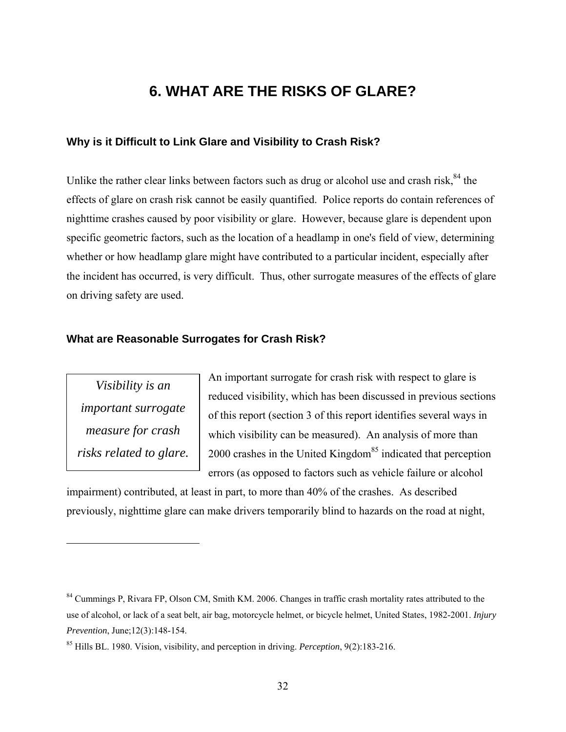### **6. WHAT ARE THE RISKS OF GLARE?**

#### **Why is it Difficult to Link Glare and Visibility to Crash Risk?**

Unlike the rather clear links between factors such as drug or alcohol use and crash risk, $84$  the effects of glare on crash risk cannot be easily quantified. Police reports do contain references of nighttime crashes caused by poor visibility or glare. However, because glare is dependent upon specific geometric factors, such as the location of a headlamp in one's field of view, determining whether or how headlamp glare might have contributed to a particular incident, especially after the incident has occurred, is very difficult. Thus, other surrogate measures of the effects of glare on driving safety are used.

#### **What are Reasonable Surrogates for Crash Risk?**

*Visibility is an important surrogate measure for crash risks related to glare.* 

 $\overline{a}$ 

An important surrogate for crash risk with respect to glare is reduced visibility, which has been discussed in previous sections of this report (section 3 of this report identifies several ways in which visibility can be measured). An analysis of more than 2000 crashes in the United Kingdom<sup>85</sup> indicated that perception errors (as opposed to factors such as vehicle failure or alcohol

impairment) contributed, at least in part, to more than 40% of the crashes. As described previously, nighttime glare can make drivers temporarily blind to hazards on the road at night,

<sup>&</sup>lt;sup>84</sup> Cummings P, Rivara FP, Olson CM, Smith KM. 2006. Changes in traffic crash mortality rates attributed to the use of alcohol, or lack of a seat belt, air bag, motorcycle helmet, or bicycle helmet, United States, 1982-2001. *Injury Prevention*, June;12(3):148-154.

<sup>85</sup> Hills BL. 1980. Vision, visibility, and perception in driving. *Perception*, 9(2):183-216.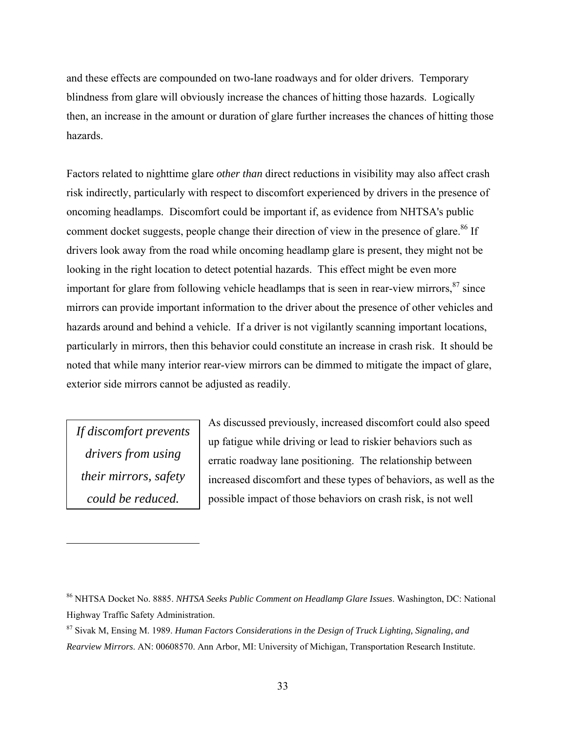and these effects are compounded on two-lane roadways and for older drivers. Temporary blindness from glare will obviously increase the chances of hitting those hazards. Logically then, an increase in the amount or duration of glare further increases the chances of hitting those hazards.

Factors related to nighttime glare *other than* direct reductions in visibility may also affect crash risk indirectly, particularly with respect to discomfort experienced by drivers in the presence of oncoming headlamps. Discomfort could be important if, as evidence from NHTSA's public comment docket suggests, people change their direction of view in the presence of glare.<sup>86</sup> If drivers look away from the road while oncoming headlamp glare is present, they might not be looking in the right location to detect potential hazards. This effect might be even more important for glare from following vehicle headlamps that is seen in rear-view mirrors,  $87$  since mirrors can provide important information to the driver about the presence of other vehicles and hazards around and behind a vehicle. If a driver is not vigilantly scanning important locations, particularly in mirrors, then this behavior could constitute an increase in crash risk. It should be noted that while many interior rear-view mirrors can be dimmed to mitigate the impact of glare, exterior side mirrors cannot be adjusted as readily.

*If discomfort prevents drivers from using their mirrors, safety could be reduced.* 

<u>.</u>

As discussed previously, increased discomfort could also speed up fatigue while driving or lead to riskier behaviors such as erratic roadway lane positioning. The relationship between increased discomfort and these types of behaviors, as well as the possible impact of those behaviors on crash risk, is not well

<sup>86</sup> NHTSA Docket No. 8885. *NHTSA Seeks Public Comment on Headlamp Glare Issues*. Washington, DC: National Highway Traffic Safety Administration.

<sup>87</sup> Sivak M, Ensing M. 1989. *Human Factors Considerations in the Design of Truck Lighting, Signaling, and Rearview Mirrors*. AN: 00608570. Ann Arbor, MI: University of Michigan, Transportation Research Institute.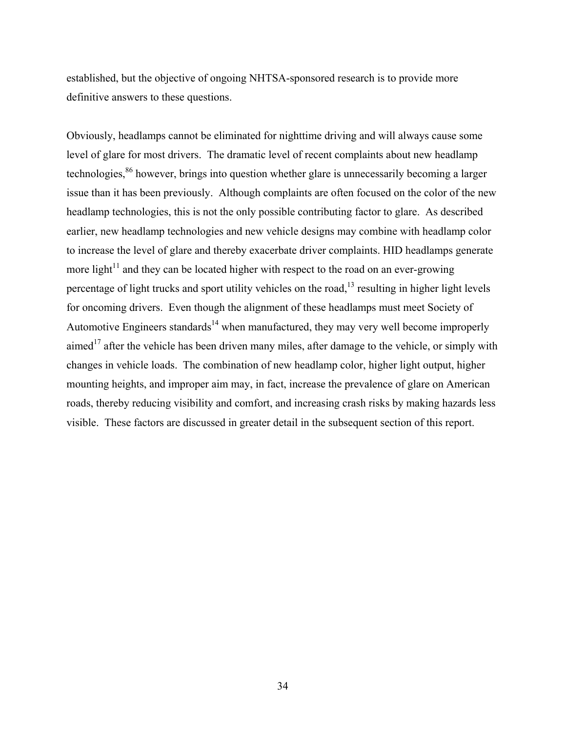established, but the objective of ongoing NHTSA-sponsored research is to provide more definitive answers to these questions.

Obviously, headlamps cannot be eliminated for nighttime driving and will always cause some level of glare for most drivers. The dramatic level of recent complaints about new headlamp technologies,<sup>86</sup> however, brings into question whether glare is unnecessarily becoming a larger issue than it has been previously. Although complaints are often focused on the color of the new headlamp technologies, this is not the only possible contributing factor to glare. As described earlier, new headlamp technologies and new vehicle designs may combine with headlamp color to increase the level of glare and thereby exacerbate driver complaints. HID headlamps generate more light<sup>11</sup> and they can be located higher with respect to the road on an ever-growing percentage of light trucks and sport utility vehicles on the road,<sup>13</sup> resulting in higher light levels for oncoming drivers. Even though the alignment of these headlamps must meet Society of Automotive Engineers standards<sup>14</sup> when manufactured, they may very well become improperly aimed<sup>17</sup> after the vehicle has been driven many miles, after damage to the vehicle, or simply with changes in vehicle loads. The combination of new headlamp color, higher light output, higher mounting heights, and improper aim may, in fact, increase the prevalence of glare on American roads, thereby reducing visibility and comfort, and increasing crash risks by making hazards less visible. These factors are discussed in greater detail in the subsequent section of this report.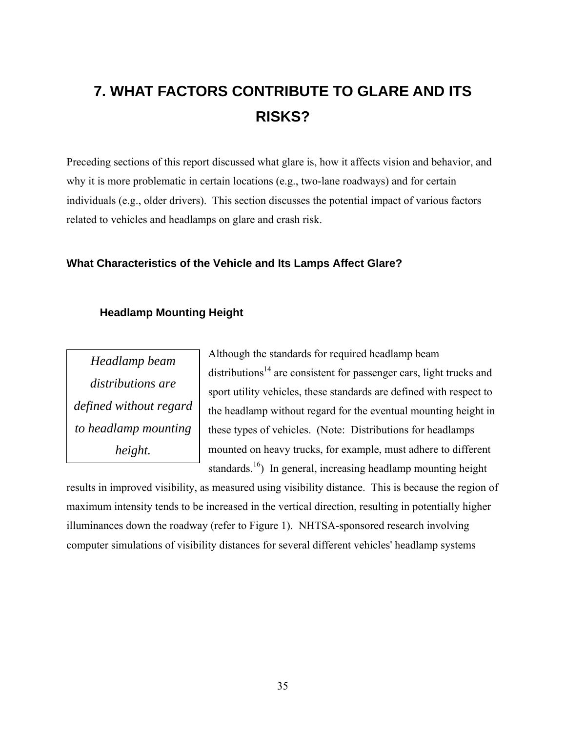# **7. WHAT FACTORS CONTRIBUTE TO GLARE AND ITS RISKS?**

Preceding sections of this report discussed what glare is, how it affects vision and behavior, and why it is more problematic in certain locations (e.g., two-lane roadways) and for certain individuals (e.g., older drivers). This section discusses the potential impact of various factors related to vehicles and headlamps on glare and crash risk.

#### **What Characteristics of the Vehicle and Its Lamps Affect Glare?**

#### **Headlamp Mounting Height**

*Headlamp beam distributions are defined without regard to headlamp mounting height.* 

Although the standards for required headlamp beam  $distributions<sup>14</sup>$  are consistent for passenger cars, light trucks and sport utility vehicles, these standards are defined with respect to the headlamp without regard for the eventual mounting height in these types of vehicles. (Note: Distributions for headlamps mounted on heavy trucks, for example, must adhere to different standards.<sup>16</sup>) In general, increasing headlamp mounting height

results in improved visibility, as measured using visibility distance. This is because the region of maximum intensity tends to be increased in the vertical direction, resulting in potentially higher illuminances down the roadway (refer to Figure 1). NHTSA-sponsored research involving computer simulations of visibility distances for several different vehicles' headlamp systems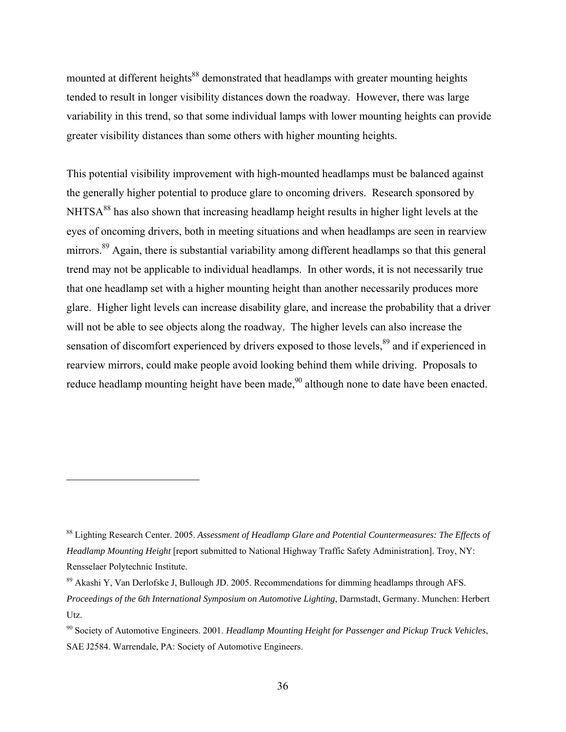mounted at different heights<sup>88</sup> demonstrated that headlamps with greater mounting heights tended to result in longer visibility distances down the roadway. However, there was large variability in this trend, so that some individual lamps with lower mounting heights can provide greater visibility distances than some others with higher mounting heights.

This potential visibility improvement with high-mounted headlamps must be balanced against the generally higher potential to produce glare to oncoming drivers. Research sponsored by NHTSA<sup>88</sup> has also shown that increasing headlamp height results in higher light levels at the eyes of oncoming drivers, both in meeting situations and when headlamps are seen in rearview mirrors.<sup>89</sup> Again, there is substantial variability among different headlamps so that this general trend may not be applicable to individual headlamps. In other words, it is not necessarily true that one headlamp set with a higher mounting height than another necessarily produces more glare. Higher light levels can increase disability glare, and increase the probability that a driver will not be able to see objects along the roadway. The higher levels can also increase the sensation of discomfort experienced by drivers exposed to those levels,<sup>89</sup> and if experienced in rearview mirrors, could make people avoid looking behind them while driving. Proposals to reduce headlamp mounting height have been made,  $90$  although none to date have been enacted.

<sup>88</sup> Lighting Research Center. 2005. *Assessment of Headlamp Glare and Potential Countermeasures: The Effects of Headlamp Mounting Height* [report submitted to National Highway Traffic Safety Administration]. Troy, NY: Rensselaer Polytechnic Institute.

<sup>89</sup> Akashi Y, Van Derlofske J, Bullough JD. 2005. Recommendations for dimming headlamps through AFS. *Proceedings of the 6th International Symposium on Automotive Lighting*, Darmstadt, Germany. Munchen: Herbert Utz.

<sup>90</sup> Society of Automotive Engineers. 2001. *Headlamp Mounting Height for Passenger and Pickup Truck Vehicles*, SAE J2584. Warrendale, PA: Society of Automotive Engineers.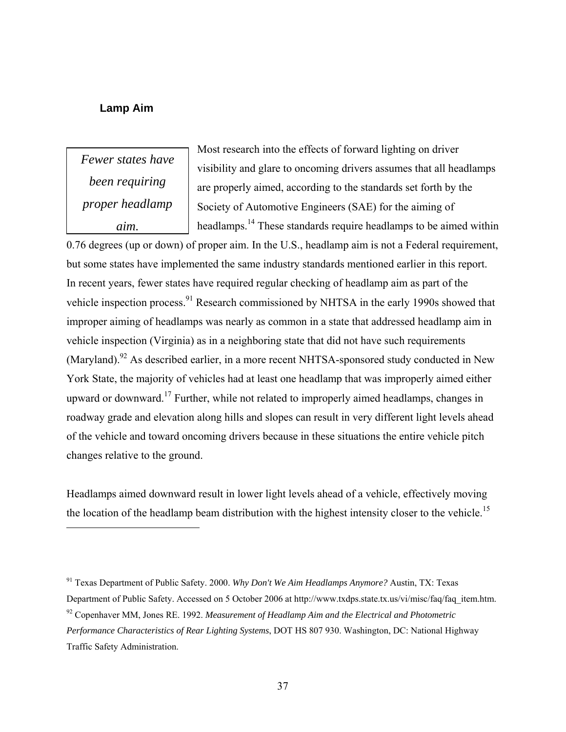#### **Lamp Aim**

*Fewer states have been requiring proper headlamp aim.*

<u>.</u>

Most research into the effects of forward lighting on driver visibility and glare to oncoming drivers assumes that all headlamps are properly aimed, according to the standards set forth by the Society of Automotive Engineers (SAE) for the aiming of headlamps.14 These standards require headlamps to be aimed within

0.76 degrees (up or down) of proper aim. In the U.S., headlamp aim is not a Federal requirement, but some states have implemented the same industry standards mentioned earlier in this report. In recent years, fewer states have required regular checking of headlamp aim as part of the vehicle inspection process.<sup>91</sup> Research commissioned by NHTSA in the early 1990s showed that improper aiming of headlamps was nearly as common in a state that addressed headlamp aim in vehicle inspection (Virginia) as in a neighboring state that did not have such requirements (Maryland).<sup>92</sup> As described earlier, in a more recent NHTSA-sponsored study conducted in New York State, the majority of vehicles had at least one headlamp that was improperly aimed either upward or downward.<sup>17</sup> Further, while not related to improperly aimed headlamps, changes in roadway grade and elevation along hills and slopes can result in very different light levels ahead of the vehicle and toward oncoming drivers because in these situations the entire vehicle pitch changes relative to the ground.

Headlamps aimed downward result in lower light levels ahead of a vehicle, effectively moving the location of the headlamp beam distribution with the highest intensity closer to the vehicle.<sup>15</sup>

<sup>91</sup> Texas Department of Public Safety. 2000. *Why Don't We Aim Headlamps Anymore?* Austin, TX: Texas Department of Public Safety. Accessed on 5 October 2006 at http://www.txdps.state.tx.us/vi/misc/faq/faq\_item.htm. 92 Copenhaver MM, Jones RE. 1992. *Measurement of Headlamp Aim and the Electrical and Photometric Performance Characteristics of Rear Lighting Systems*, DOT HS 807 930. Washington, DC: National Highway Traffic Safety Administration.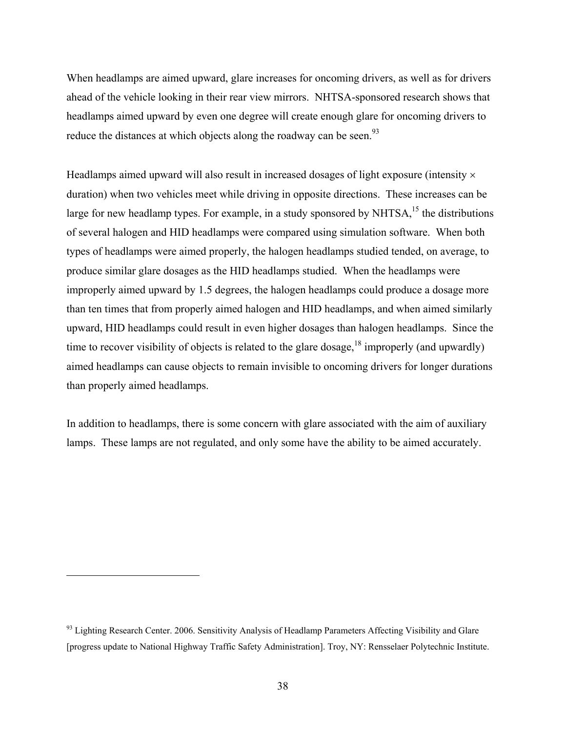When headlamps are aimed upward, glare increases for oncoming drivers, as well as for drivers ahead of the vehicle looking in their rear view mirrors. NHTSA-sponsored research shows that headlamps aimed upward by even one degree will create enough glare for oncoming drivers to reduce the distances at which objects along the roadway can be seen.<sup>93</sup>

Headlamps aimed upward will also result in increased dosages of light exposure (intensity  $\times$ duration) when two vehicles meet while driving in opposite directions. These increases can be large for new headlamp types. For example, in a study sponsored by NHTSA,  $^{15}$  the distributions of several halogen and HID headlamps were compared using simulation software. When both types of headlamps were aimed properly, the halogen headlamps studied tended, on average, to produce similar glare dosages as the HID headlamps studied. When the headlamps were improperly aimed upward by 1.5 degrees, the halogen headlamps could produce a dosage more than ten times that from properly aimed halogen and HID headlamps, and when aimed similarly upward, HID headlamps could result in even higher dosages than halogen headlamps. Since the time to recover visibility of objects is related to the glare dosage,  $^{18}$  improperly (and upwardly) aimed headlamps can cause objects to remain invisible to oncoming drivers for longer durations than properly aimed headlamps.

In addition to headlamps, there is some concern with glare associated with the aim of auxiliary lamps. These lamps are not regulated, and only some have the ability to be aimed accurately.

<sup>&</sup>lt;sup>93</sup> Lighting Research Center. 2006. Sensitivity Analysis of Headlamp Parameters Affecting Visibility and Glare [progress update to National Highway Traffic Safety Administration]. Troy, NY: Rensselaer Polytechnic Institute.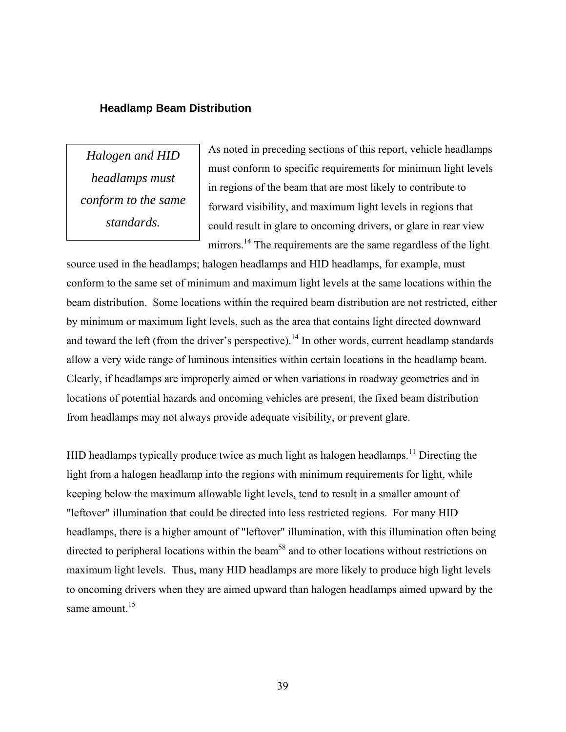#### **Headlamp Beam Distribution**

*Halogen and HID headlamps must conform to the same standards.* 

As noted in preceding sections of this report, vehicle headlamps must conform to specific requirements for minimum light levels in regions of the beam that are most likely to contribute to forward visibility, and maximum light levels in regions that could result in glare to oncoming drivers, or glare in rear view mirrors.<sup>14</sup> The requirements are the same regardless of the light

source used in the headlamps; halogen headlamps and HID headlamps, for example, must conform to the same set of minimum and maximum light levels at the same locations within the beam distribution. Some locations within the required beam distribution are not restricted, either by minimum or maximum light levels, such as the area that contains light directed downward and toward the left (from the driver's perspective).<sup>14</sup> In other words, current headlamp standards allow a very wide range of luminous intensities within certain locations in the headlamp beam. Clearly, if headlamps are improperly aimed or when variations in roadway geometries and in locations of potential hazards and oncoming vehicles are present, the fixed beam distribution from headlamps may not always provide adequate visibility, or prevent glare.

HID headlamps typically produce twice as much light as halogen headlamps.<sup>11</sup> Directing the light from a halogen headlamp into the regions with minimum requirements for light, while keeping below the maximum allowable light levels, tend to result in a smaller amount of "leftover" illumination that could be directed into less restricted regions. For many HID headlamps, there is a higher amount of "leftover" illumination, with this illumination often being directed to peripheral locations within the beam<sup>58</sup> and to other locations without restrictions on maximum light levels. Thus, many HID headlamps are more likely to produce high light levels to oncoming drivers when they are aimed upward than halogen headlamps aimed upward by the same amount  $15$ 

39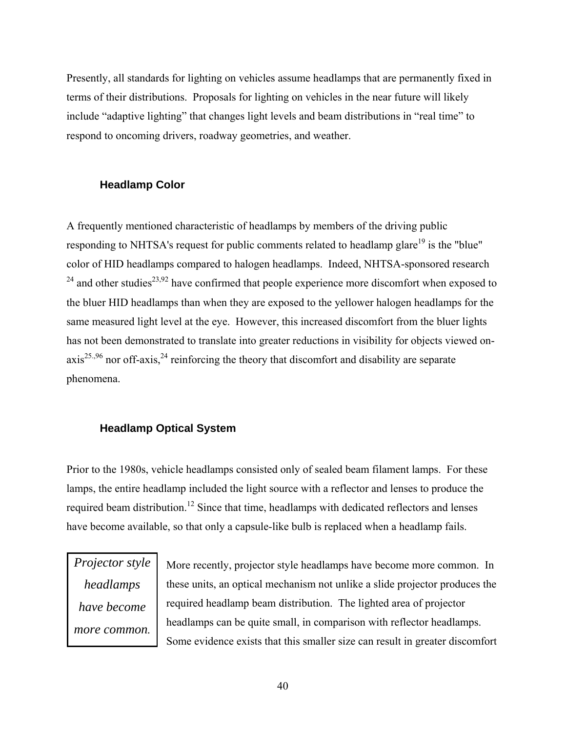Presently, all standards for lighting on vehicles assume headlamps that are permanently fixed in terms of their distributions. Proposals for lighting on vehicles in the near future will likely include "adaptive lighting" that changes light levels and beam distributions in "real time" to respond to oncoming drivers, roadway geometries, and weather.

#### **Headlamp Color**

A frequently mentioned characteristic of headlamps by members of the driving public responding to NHTSA's request for public comments related to headlamp glare<sup>19</sup> is the "blue" color of HID headlamps compared to halogen headlamps. Indeed, NHTSA-sponsored research  $24$  and other studies<sup>23,92</sup> have confirmed that people experience more discomfort when exposed to the bluer HID headlamps than when they are exposed to the yellower halogen headlamps for the same measured light level at the eye. However, this increased discomfort from the bluer lights has not been demonstrated to translate into greater reductions in visibility for objects viewed on $axis^{25.96}$  nor off-axis,  $24$  reinforcing the theory that discomfort and disability are separate phenomena.

#### **Headlamp Optical System**

Prior to the 1980s, vehicle headlamps consisted only of sealed beam filament lamps. For these lamps, the entire headlamp included the light source with a reflector and lenses to produce the required beam distribution.<sup>12</sup> Since that time, headlamps with dedicated reflectors and lenses have become available, so that only a capsule-like bulb is replaced when a headlamp fails.

*Projector style headlamps have become more common.* 

More recently, projector style headlamps have become more common. In these units, an optical mechanism not unlike a slide projector produces the required headlamp beam distribution. The lighted area of projector headlamps can be quite small, in comparison with reflector headlamps. Some evidence exists that this smaller size can result in greater discomfort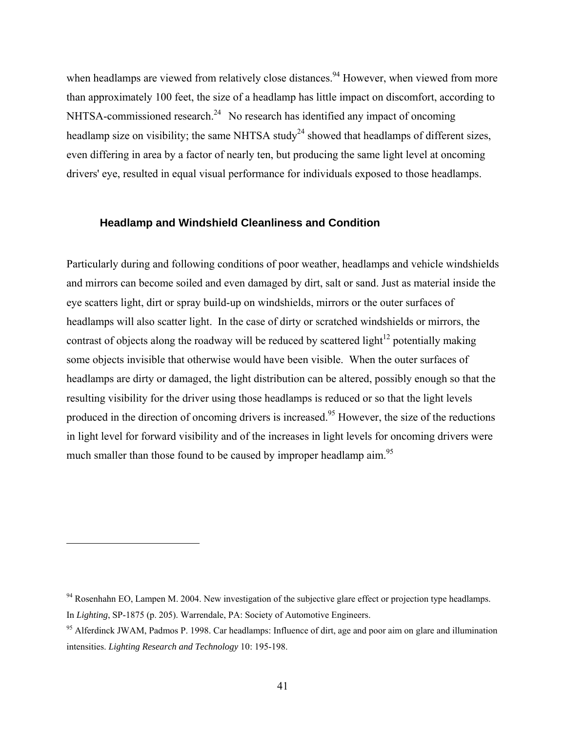when headlamps are viewed from relatively close distances.<sup>94</sup> However, when viewed from more than approximately 100 feet, the size of a headlamp has little impact on discomfort, according to NHTSA-commissioned research.<sup>24</sup> No research has identified any impact of oncoming headlamp size on visibility; the same NHTSA study<sup>24</sup> showed that headlamps of different sizes, even differing in area by a factor of nearly ten, but producing the same light level at oncoming drivers' eye, resulted in equal visual performance for individuals exposed to those headlamps.

#### **Headlamp and Windshield Cleanliness and Condition**

Particularly during and following conditions of poor weather, headlamps and vehicle windshields and mirrors can become soiled and even damaged by dirt, salt or sand. Just as material inside the eye scatters light, dirt or spray build-up on windshields, mirrors or the outer surfaces of headlamps will also scatter light. In the case of dirty or scratched windshields or mirrors, the contrast of objects along the roadway will be reduced by scattered light<sup>12</sup> potentially making some objects invisible that otherwise would have been visible. When the outer surfaces of headlamps are dirty or damaged, the light distribution can be altered, possibly enough so that the resulting visibility for the driver using those headlamps is reduced or so that the light levels produced in the direction of oncoming drivers is increased.<sup>95</sup> However, the size of the reductions in light level for forward visibility and of the increases in light levels for oncoming drivers were much smaller than those found to be caused by improper headlamp aim.<sup>95</sup>

<u>.</u>

<sup>&</sup>lt;sup>94</sup> Rosenhahn EO, Lampen M. 2004. New investigation of the subjective glare effect or projection type headlamps. In *Lighting*, SP-1875 (p. 205). Warrendale, PA: Society of Automotive Engineers.

<sup>&</sup>lt;sup>95</sup> Alferdinck JWAM, Padmos P. 1998. Car headlamps: Influence of dirt, age and poor aim on glare and illumination intensities. *Lighting Research and Technology* 10: 195-198.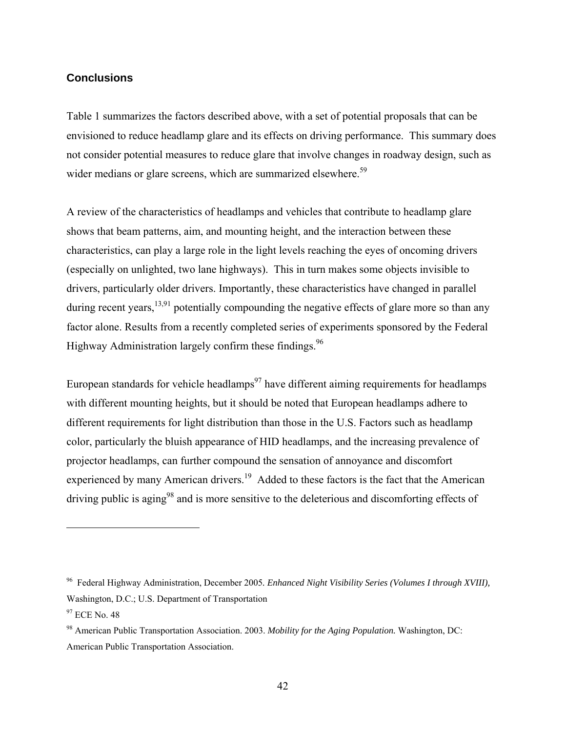#### **Conclusions**

Table 1 summarizes the factors described above, with a set of potential proposals that can be envisioned to reduce headlamp glare and its effects on driving performance. This summary does not consider potential measures to reduce glare that involve changes in roadway design, such as wider medians or glare screens, which are summarized elsewhere.<sup>59</sup>

A review of the characteristics of headlamps and vehicles that contribute to headlamp glare shows that beam patterns, aim, and mounting height, and the interaction between these characteristics, can play a large role in the light levels reaching the eyes of oncoming drivers (especially on unlighted, two lane highways). This in turn makes some objects invisible to drivers, particularly older drivers. Importantly, these characteristics have changed in parallel during recent years,  $^{13,91}$  potentially compounding the negative effects of glare more so than any factor alone. Results from a recently completed series of experiments sponsored by the Federal Highway Administration largely confirm these findings.  $96$ 

European standards for vehicle headlamps<sup>97</sup> have different aiming requirements for headlamps with different mounting heights, but it should be noted that European headlamps adhere to different requirements for light distribution than those in the U.S. Factors such as headlamp color, particularly the bluish appearance of HID headlamps, and the increasing prevalence of projector headlamps, can further compound the sensation of annoyance and discomfort experienced by many American drivers.<sup>19</sup> Added to these factors is the fact that the American driving public is aging<sup>98</sup> and is more sensitive to the deleterious and discomforting effects of

<sup>96</sup> Federal Highway Administration, December 2005*. Enhanced Night Visibility Series (Volumes I through XVIII),*  Washington, D.C.; U.S. Department of Transportation

 $97$  ECE No. 48

<sup>98</sup> American Public Transportation Association. 2003. *Mobility for the Aging Population.* Washington, DC: American Public Transportation Association.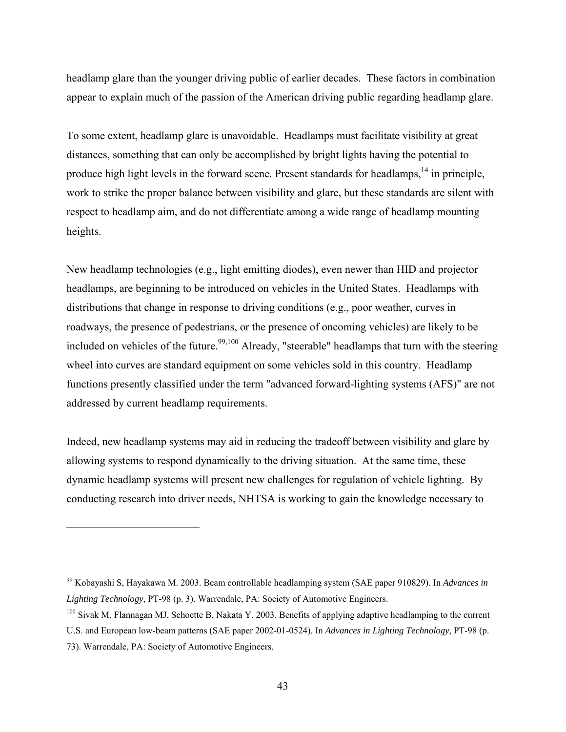headlamp glare than the younger driving public of earlier decades. These factors in combination appear to explain much of the passion of the American driving public regarding headlamp glare.

To some extent, headlamp glare is unavoidable. Headlamps must facilitate visibility at great distances, something that can only be accomplished by bright lights having the potential to produce high light levels in the forward scene. Present standards for headlamps,<sup>14</sup> in principle, work to strike the proper balance between visibility and glare, but these standards are silent with respect to headlamp aim, and do not differentiate among a wide range of headlamp mounting heights.

New headlamp technologies (e.g., light emitting diodes), even newer than HID and projector headlamps, are beginning to be introduced on vehicles in the United States. Headlamps with distributions that change in response to driving conditions (e.g., poor weather, curves in roadways, the presence of pedestrians, or the presence of oncoming vehicles) are likely to be included on vehicles of the future.<sup>99,100</sup> Already, "steerable" headlamps that turn with the steering wheel into curves are standard equipment on some vehicles sold in this country. Headlamp functions presently classified under the term "advanced forward-lighting systems (AFS)" are not addressed by current headlamp requirements.

Indeed, new headlamp systems may aid in reducing the tradeoff between visibility and glare by allowing systems to respond dynamically to the driving situation. At the same time, these dynamic headlamp systems will present new challenges for regulation of vehicle lighting. By conducting research into driver needs, NHTSA is working to gain the knowledge necessary to

<sup>99</sup> Kobayashi S, Hayakawa M. 2003. Beam controllable headlamping system (SAE paper 910829). In *Advances in Lighting Technology*, PT-98 (p. 3). Warrendale, PA: Society of Automotive Engineers.

<sup>&</sup>lt;sup>100</sup> Sivak M, Flannagan MJ, Schoette B, Nakata Y, 2003. Benefits of applying adaptive headlamping to the current

U.S. and European low-beam patterns (SAE paper 2002-01-0524). In *Advances in Lighting Technology*, PT-98 (p. 73). Warrendale, PA: Society of Automotive Engineers.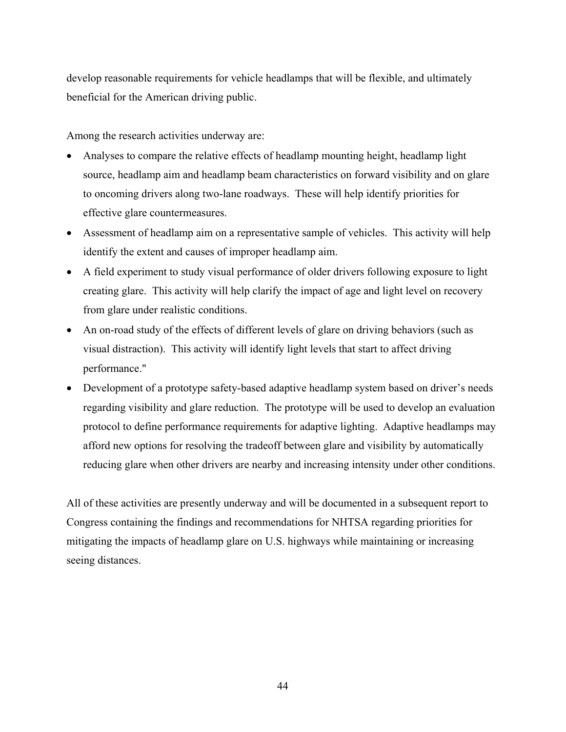develop reasonable requirements for vehicle headlamps that will be flexible, and ultimately beneficial for the American driving public.

Among the research activities underway are:

- Analyses to compare the relative effects of headlamp mounting height, headlamp light source, headlamp aim and headlamp beam characteristics on forward visibility and on glare to oncoming drivers along two-lane roadways. These will help identify priorities for effective glare countermeasures.
- Assessment of headlamp aim on a representative sample of vehicles. This activity will help identify the extent and causes of improper headlamp aim.
- A field experiment to study visual performance of older drivers following exposure to light creating glare. This activity will help clarify the impact of age and light level on recovery from glare under realistic conditions.
- An on-road study of the effects of different levels of glare on driving behaviors (such as visual distraction). This activity will identify light levels that start to affect driving performance."
- Development of a prototype safety-based adaptive headlamp system based on driver's needs regarding visibility and glare reduction. The prototype will be used to develop an evaluation protocol to define performance requirements for adaptive lighting. Adaptive headlamps may afford new options for resolving the tradeoff between glare and visibility by automatically reducing glare when other drivers are nearby and increasing intensity under other conditions.

All of these activities are presently underway and will be documented in a subsequent report to Congress containing the findings and recommendations for NHTSA regarding priorities for mitigating the impacts of headlamp glare on U.S. highways while maintaining or increasing seeing distances.